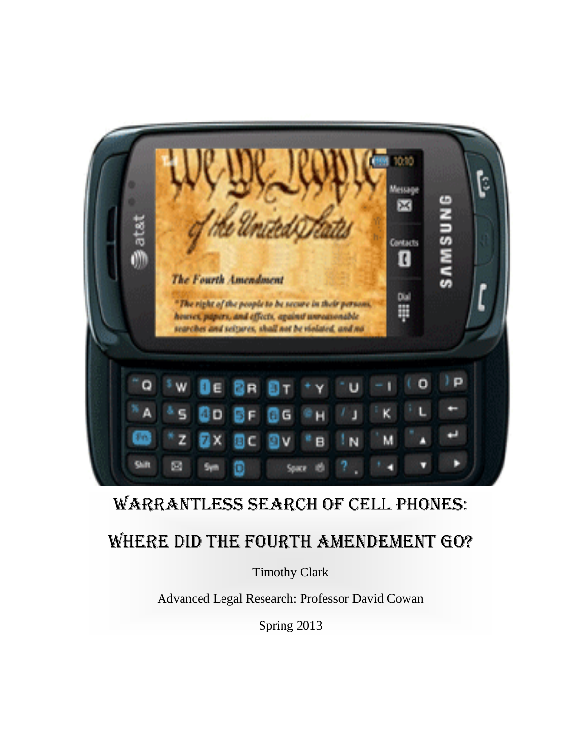

# WARRANTLESS SEARCH OF CELL PHONES:

# WHERE DID THE FOURTH AMENDEMENT GO?

Timothy Clark

Advanced Legal Research: Professor David Cowan

Spring 2013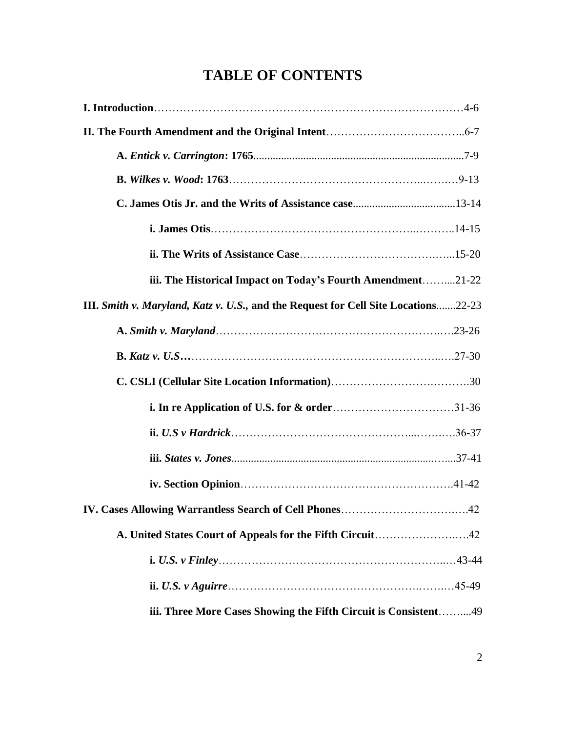# **TABLE OF CONTENTS**

| iii. The Historical Impact on Today's Fourth Amendment21-22                        |
|------------------------------------------------------------------------------------|
| III. Smith v. Maryland, Katz v. U.S., and the Request for Cell Site Locations22-23 |
|                                                                                    |
|                                                                                    |
|                                                                                    |
|                                                                                    |
|                                                                                    |
|                                                                                    |
|                                                                                    |
|                                                                                    |
|                                                                                    |
|                                                                                    |
|                                                                                    |
| iii. Three More Cases Showing the Fifth Circuit is Consistent49                    |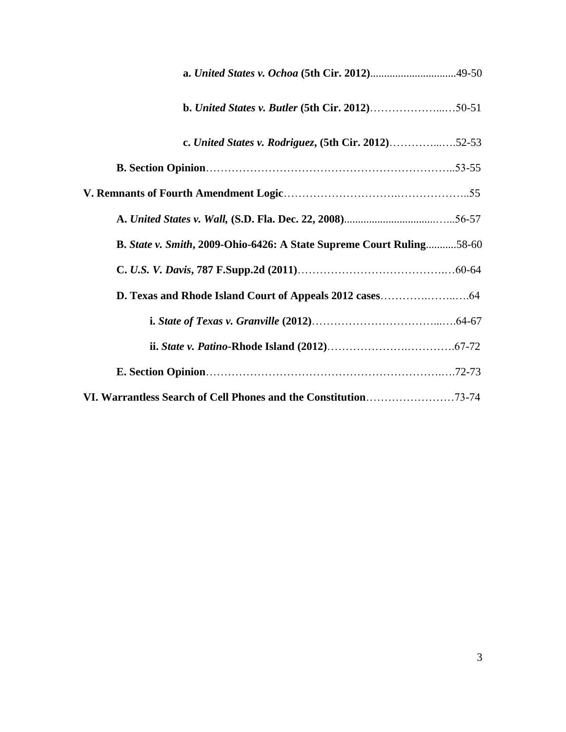| <b>b.</b> United States v. Butler (5th Cir. 2012)50-51               |  |
|----------------------------------------------------------------------|--|
| c. United States v. Rodriguez, (5th Cir. 2012)52-53                  |  |
|                                                                      |  |
|                                                                      |  |
|                                                                      |  |
| B. State v. Smith, 2009-Ohio-6426: A State Supreme Court Ruling58-60 |  |
|                                                                      |  |
|                                                                      |  |
|                                                                      |  |
|                                                                      |  |
|                                                                      |  |
| VI. Warrantless Search of Cell Phones and the Constitution73-74      |  |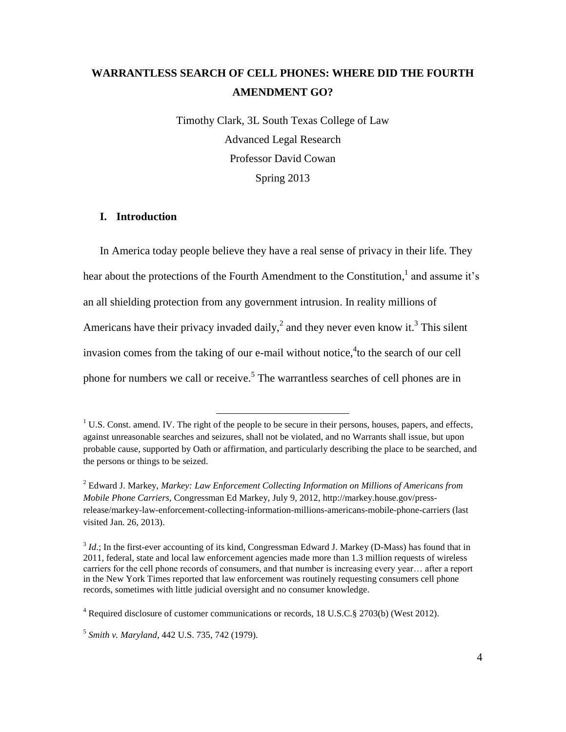# **WARRANTLESS SEARCH OF CELL PHONES: WHERE DID THE FOURTH AMENDMENT GO?**

Timothy Clark, 3L South Texas College of Law Advanced Legal Research Professor David Cowan Spring 2013

#### **I. Introduction**

In America today people believe they have a real sense of privacy in their life. They hear about the protections of the Fourth Amendment to the Constitution,<sup>1</sup> and assume it's an all shielding protection from any government intrusion. In reality millions of Americans have their privacy invaded daily,<sup>2</sup> and they never even know it.<sup>3</sup> This silent invasion comes from the taking of our e-mail without notice,  $\text{t}_1$  to the search of our cell phone for numbers we call or receive.<sup>5</sup> The warrantless searches of cell phones are in

 $<sup>1</sup>$  U.S. Const. amend. IV. The right of the people to be secure in their persons, houses, papers, and effects,</sup> against unreasonable searches and seizures, shall not be violated, and no Warrants shall issue, but upon probable cause, supported by Oath or affirmation, and particularly describing the place to be searched, and the persons or things to be seized.

<sup>2</sup> Edward J. Markey, *Markey: Law Enforcement Collecting Information on Millions of Americans from Mobile Phone Carriers,* Congressman Ed Markey, July 9, 2012, [http://markey.house.gov/press](http://markey.house.gov/press-release/markey-law-enforcement-collecting-information-millions-americans-mobile-phone-carriers)[release/markey-law-enforcement-collecting-information-millions-americans-mobile-phone-carriers](http://markey.house.gov/press-release/markey-law-enforcement-collecting-information-millions-americans-mobile-phone-carriers) (last visited Jan. 26, 2013).

<sup>&</sup>lt;sup>3</sup> *Id*.; In the first-ever accounting of its kind, Congressman Edward J. Markey (D-Mass) has found that in 2011, federal, state and local law enforcement agencies made more than 1.3 million requests of wireless carriers for the cell phone records of consumers, and that number is increasing every year… after a report in the New York Times reported that law enforcement was routinely requesting consumers cell phone records, sometimes with little judicial oversight and no consumer knowledge.

<sup>4</sup> Required disclosure of customer communications or records, 18 U.S.C.§ 2703(b) (West 2012).

<sup>5</sup> *Smith v. Maryland*, 442 U.S. 735, 742 (1979).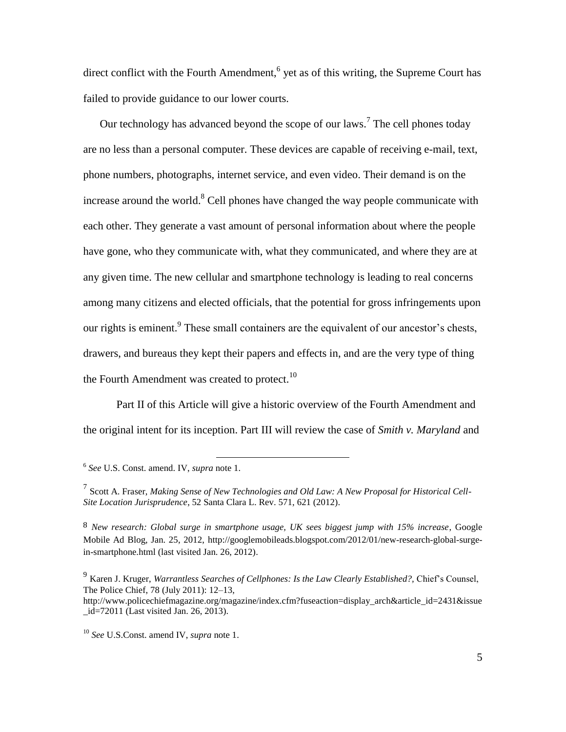direct conflict with the Fourth Amendment,<sup>6</sup> yet as of this writing, the Supreme Court has failed to provide guidance to our lower courts.

Our technology has advanced beyond the scope of our laws.<sup>7</sup> The cell phones today are no less than a personal computer. These devices are capable of receiving e-mail, text, phone numbers, photographs, internet service, and even video. Their demand is on the increase around the world.<sup>8</sup> Cell phones have changed the way people communicate with each other. They generate a vast amount of personal information about where the people have gone, who they communicate with, what they communicated, and where they are at any given time. The new cellular and smartphone technology is leading to real concerns among many citizens and elected officials, that the potential for gross infringements upon our rights is eminent.<sup>9</sup> These small containers are the equivalent of our ancestor's chests, drawers, and bureaus they kept their papers and effects in, and are the very type of thing the Fourth Amendment was created to protect.<sup>10</sup>

Part II of this Article will give a historic overview of the Fourth Amendment and the original intent for its inception. Part III will review the case of *Smith v. Maryland* and

6 *See* U.S. Const. amend. IV, *supra* note 1.

7 Scott A. Fraser, *Making Sense of New Technologies and Old Law: A New Proposal for Historical Cell-Site Location Jurisprudence*, 52 Santa Clara L. Rev. 571, 621 (2012).

8 *[New research: Global surge in smartphone usage, UK sees biggest jump with 15% increase](http://googlemobileads.blogspot.com/2012/01/new-research-global-surge-in-smartphone.html)*, Google Mobile Ad Blog, Jan. 25, 2012, [http://googlemobileads.blogspot.com/2012/01/new-research-global-surge](http://googlemobileads.blogspot.com/2012/01/new-research-global-surge-in-smartphone.html)[in-smartphone.html](http://googlemobileads.blogspot.com/2012/01/new-research-global-surge-in-smartphone.html) (last visited Jan. 26, 2012).

[http://www.policechiefmagazine.org/magazine/index.cfm?fuseaction=display\\_arch&article\\_id=2431&issue](http://www.policechiefmagazine.org/magazine/index.cfm?fuseaction=display_arch&article_id=2431&issue_id=72011) [\\_id=72011](http://www.policechiefmagazine.org/magazine/index.cfm?fuseaction=display_arch&article_id=2431&issue_id=72011) (Last visited Jan. 26, 2013).

<sup>9</sup> Karen J. Kruger, *Warrantless Searches of Cellphones: Is the Law Clearly Established?,* Chief's Counsel, The Police Chief, 78 (July 2011): 12–13,

<sup>10</sup> *See* U.S.Const. amend IV, *supra* note 1.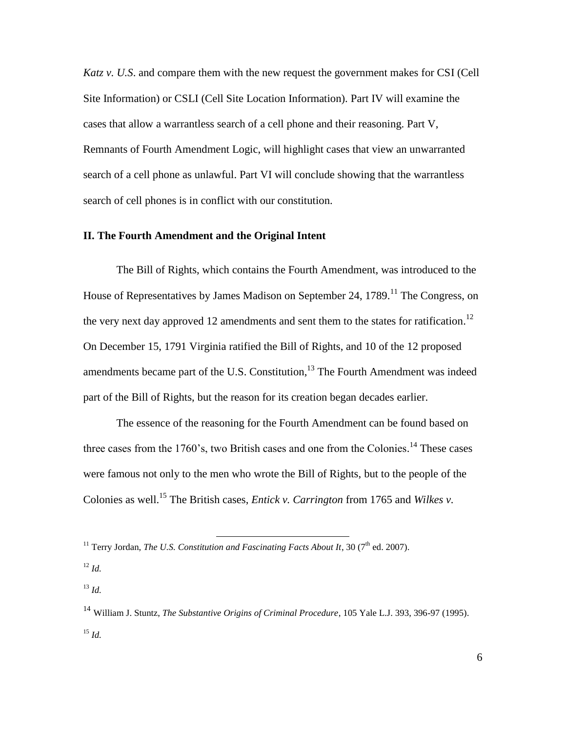*Katz v. U.S*. and compare them with the new request the government makes for CSI (Cell Site Information) or CSLI (Cell Site Location Information). Part IV will examine the cases that allow a warrantless search of a cell phone and their reasoning. Part V, Remnants of Fourth Amendment Logic, will highlight cases that view an unwarranted search of a cell phone as unlawful. Part VI will conclude showing that the warrantless search of cell phones is in conflict with our constitution.

# **II. The Fourth Amendment and the Original Intent**

The Bill of Rights, which contains the Fourth Amendment, was introduced to the House of Representatives by James Madison on September 24, 1789.<sup>11</sup> The Congress, on the very next day approved 12 amendments and sent them to the states for ratification.<sup>12</sup> On December 15, 1791 Virginia ratified the Bill of Rights, and 10 of the 12 proposed amendments became part of the U.S. Constitution,  $1<sup>3</sup>$  The Fourth Amendment was indeed part of the Bill of Rights, but the reason for its creation began decades earlier.

The essence of the reasoning for the Fourth Amendment can be found based on three cases from the 1760's, two British cases and one from the Colonies.<sup>14</sup> These cases were famous not only to the men who wrote the Bill of Rights, but to the people of the Colonies as well. <sup>15</sup> The British cases, *Entick v. Carrington* from 1765 and *Wilkes v.* 

<sup>&</sup>lt;sup>11</sup> Terry Jordan, *The U.S. Constitution and Fascinating Facts About It*, 30 ( $7<sup>th</sup>$  ed. 2007).

<sup>12</sup> *Id.*

<sup>13</sup> *Id.*

<sup>14</sup> William J. Stuntz, *The Substantive Origins of Criminal Procedure*, 105 Yale L.J. 393, 396-97 (1995).  $^{15}$  *Id.*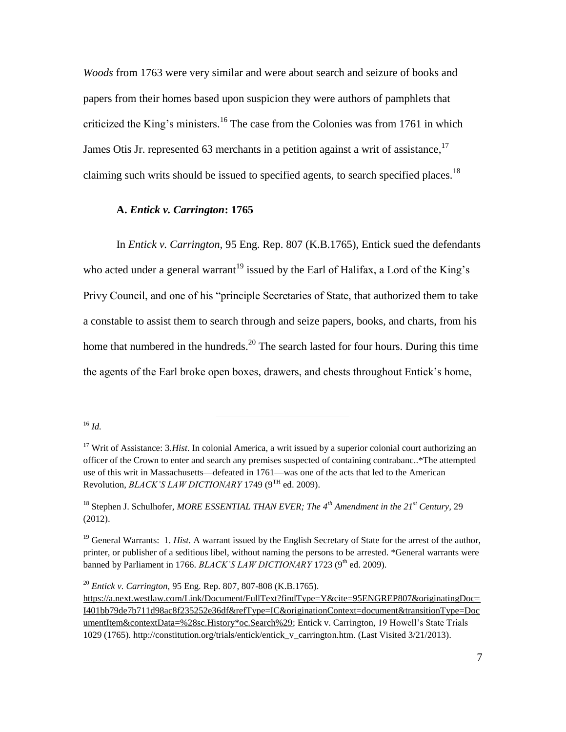*Woods* from 1763 were very similar and were about search and seizure of books and papers from their homes based upon suspicion they were authors of pamphlets that criticized the King's ministers.<sup>16</sup> The case from the Colonies was from 1761 in which James Otis Jr. represented 63 merchants in a petition against a writ of assistance,  $17$ claiming such writs should be issued to specified agents, to search specified places.<sup>18</sup>

# **A.** *Entick v. Carrington***: 1765**

In *Entick v. Carrington,* 95 Eng. Rep. 807 (K.B.1765), Entick sued the defendants who acted under a general warrant<sup>19</sup> issued by the Earl of Halifax, a Lord of the King's Privy Council, and one of his "principle Secretaries of State, that authorized them to take a constable to assist them to search through and seize papers, books, and charts, from his home that numbered in the hundreds.<sup>20</sup> The search lasted for four hours. During this time the agents of the Earl broke open boxes, drawers, and chests throughout Entick's home,

<sup>16</sup> *Id.*

<sup>18</sup> Stephen J. Schulhofer, *MORE ESSENTIAL THAN EVER; The 4th Amendment in the 21st Century,* 29 (2012).

<sup>19</sup> General Warrants: 1. *Hist*. A warrant issued by the English Secretary of State for the arrest of the author, printer, or publisher of a seditious libel, without naming the persons to be arrested. \*General warrants were banned by Parliament in 1766. *BLACK'S LAW DICTIONARY* 1723 (9<sup>th</sup> ed. 2009).

<sup>20</sup> *Entick v. Carrington,* 95 Eng. Rep. 807, 807-808 (K.B.1765).

<sup>&</sup>lt;sup>17</sup> Writ of Assistance: 3.*Hist*. In colonial America, a writ issued by a superior colonial court authorizing an officer of the Crown to enter and search any premises suspected of containing contrabanc..\*The attempted use of this writ in Massachusetts—defeated in 1761—was one of the acts that led to the American Revolution, *BLACK'S LAW DICTIONARY* 1749 (9<sup>TH</sup> ed. 2009).

[https://a.next.westlaw.com/Link/Document/FullText?findType=Y&cite=95ENGREP807&originatingDoc=](https://a.next.westlaw.com/Link/Document/FullText?findType=Y&cite=95ENGREP807&originatingDoc=I401bb79de7b711d98ac8f235252e36df&refType=IC&originationContext=document&transitionType=DocumentItem&contextData=%28sc.History*oc.Search%29) [I401bb79de7b711d98ac8f235252e36df&refType=IC&originationContext=document&transitionType=Doc](https://a.next.westlaw.com/Link/Document/FullText?findType=Y&cite=95ENGREP807&originatingDoc=I401bb79de7b711d98ac8f235252e36df&refType=IC&originationContext=document&transitionType=DocumentItem&contextData=%28sc.History*oc.Search%29) [umentItem&contextData=%28sc.History\\*oc.Search%29;](https://a.next.westlaw.com/Link/Document/FullText?findType=Y&cite=95ENGREP807&originatingDoc=I401bb79de7b711d98ac8f235252e36df&refType=IC&originationContext=document&transitionType=DocumentItem&contextData=%28sc.History*oc.Search%29) Entick v. Carrington, 19 Howell's State Trials 1029 (1765). http://constitution.org/trials/entick/entick\_v\_carrington.htm. (Last Visited 3/21/2013).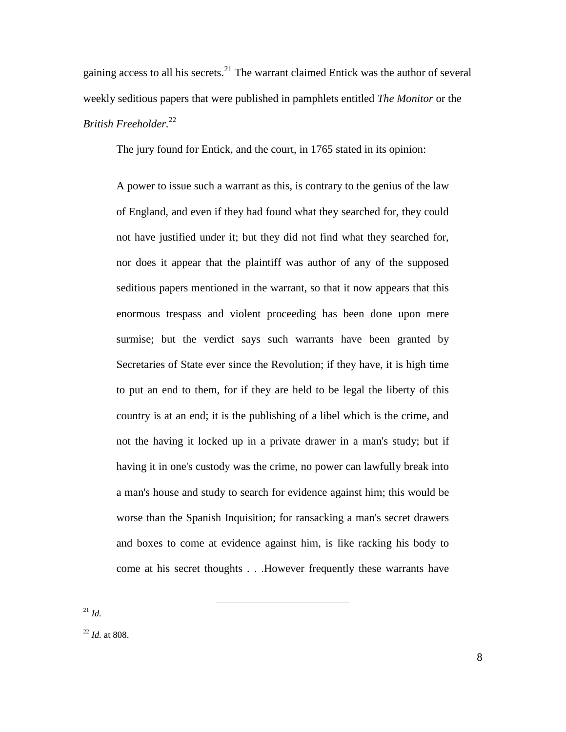gaining access to all his secrets.<sup>21</sup> The warrant claimed Entick was the author of several weekly seditious papers that were published in pamphlets entitled *The Monitor* or the *British Freeholder.* 22

The jury found for Entick, and the court, in 1765 stated in its opinion:

A power to issue such a warrant as this, is contrary to the genius of the law of England, and even if they had found what they searched for, they could not have justified under it; but they did not find what they searched for, nor does it appear that the plaintiff was author of any of the supposed seditious papers mentioned in the warrant, so that it now appears that this enormous trespass and violent proceeding has been done upon mere surmise; but the verdict says such warrants have been granted by Secretaries of State ever since the Revolution; if they have, it is high time to put an end to them, for if they are held to be legal the liberty of this country is at an end; it is the publishing of a libel which is the crime, and not the having it locked up in a private drawer in a man's study; but if having it in one's custody was the crime, no power can lawfully break into a man's house and study to search for evidence against him; this would be worse than the Spanish Inquisition; for ransacking a man's secret drawers and boxes to come at evidence against him, is like racking his body to come at his secret thoughts . . .However frequently these warrants have

 $\overline{a}$ 

<sup>21</sup> *Id.*

<sup>22</sup> *Id.* at 808.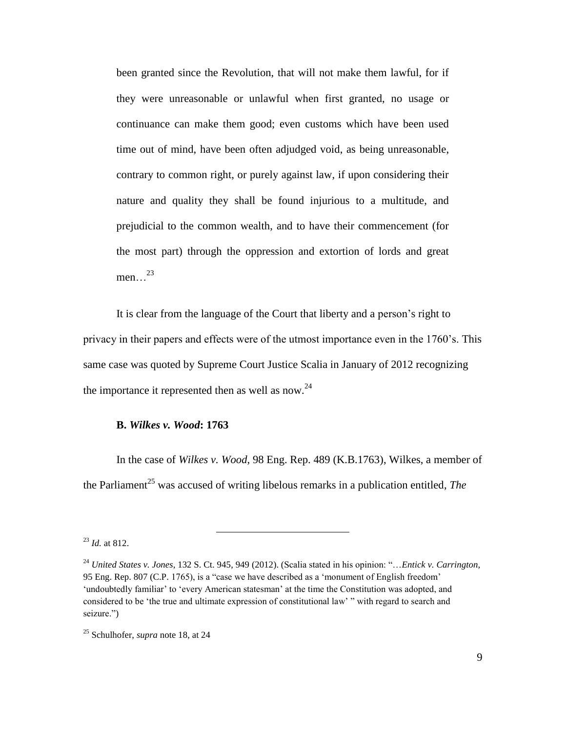been granted since the Revolution, that will not make them lawful, for if they were unreasonable or unlawful when first granted, no usage or continuance can make them good; even customs which have been used time out of mind, have been often adjudged void, as being unreasonable, contrary to common right, or purely against law, if upon considering their nature and quality they shall be found injurious to a multitude, and prejudicial to the common wealth, and to have their commencement (for the most part) through the oppression and extortion of lords and great men…<sup>23</sup>

It is clear from the language of the Court that liberty and a person's right to privacy in their papers and effects were of the utmost importance even in the 1760's. This same case was quoted by Supreme Court Justice Scalia in January of 2012 recognizing the importance it represented then as well as now.<sup>24</sup>

#### **B.** *Wilkes v. Wood***: 1763**

 $\overline{a}$ 

In the case of *Wilkes v. Wood,* [98 Eng. Rep. 489 \(K.B.1763\),](https://a.next.westlaw.com/Link/Document/FullText?findType=Y&cite=98ENGREP489&originatingDoc=I401bb79de7b711d98ac8f235252e36df&refType=IC&originationContext=document&transitionType=DocumentItem&contextData=%28sc.History*oc.Search%29) Wilkes, a member of the Parliament<sup>25</sup> was accused of writing libelous remarks in a publication entitled, *The* 

<sup>23</sup> *Id.* at 812.

<sup>24</sup> *United States v. Jones*, 132 S. Ct. 945, 949 (2012). (Scalia stated in his opinion: ―…*Entick v. Carrington,* 95 Eng. Rep. 807 (C.P. 1765), is a "case we have described as a 'monument of English freedom' 'undoubtedly familiar' to 'every American statesman' at the time the Constitution was adopted, and considered to be 'the true and ultimate expression of constitutional law' " with regard to search and seizure.")

<sup>25</sup> Schulhofer, *supra* note 18, at 24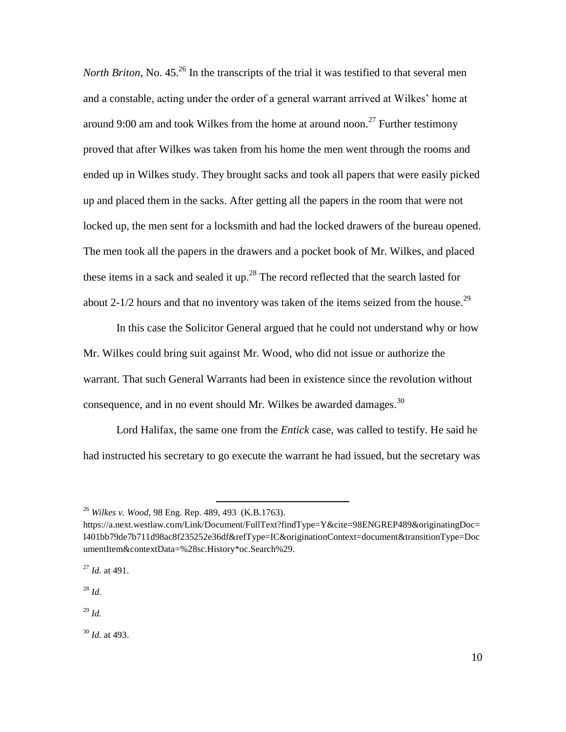*North Briton*, No. 45.<sup>26</sup> In the transcripts of the trial it was testified to that several men and a constable, acting under the order of a general warrant arrived at Wilkes' home at around 9:00 am and took Wilkes from the home at around noon.<sup>27</sup> Further testimony proved that after Wilkes was taken from his home the men went through the rooms and ended up in Wilkes study. They brought sacks and took all papers that were easily picked up and placed them in the sacks. After getting all the papers in the room that were not locked up, the men sent for a locksmith and had the locked drawers of the bureau opened. The men took all the papers in the drawers and a pocket book of Mr. Wilkes, and placed these items in a sack and sealed it up.<sup>28</sup> The record reflected that the search lasted for about 2-1/2 hours and that no inventory was taken of the items seized from the house.<sup>29</sup>

In this case the Solicitor General argued that he could not understand why or how Mr. Wilkes could bring suit against Mr. Wood, who did not issue or authorize the warrant. That such General Warrants had been in existence since the revolution without consequence, and in no event should Mr. Wilkes be awarded damages.<sup>30</sup>

Lord Halifax, the same one from the *Entick* case, was called to testify. He said he had instructed his secretary to go execute the warrant he had issued, but the secretary was

 $\overline{a}$ 

<sup>28</sup> *Id.*

<sup>29</sup> *Id.*

<sup>30</sup> *Id.* at 493.

<sup>26</sup> *Wilkes v. Wood,* [98 Eng. Rep. 489, 493 \(K.B.1763\).](https://a.next.westlaw.com/Link/Document/FullText?findType=Y&cite=98ENGREP489&originatingDoc=I401bb79de7b711d98ac8f235252e36df&refType=IC&originationContext=document&transitionType=DocumentItem&contextData=%28sc.History*oc.Search%29)

https://a.next.westlaw.com/Link/Document/FullText?findType=Y&cite=98ENGREP489&originatingDoc= I401bb79de7b711d98ac8f235252e36df&refType=IC&originationContext=document&transitionType=Doc umentItem&contextData=%28sc.History\*oc.Search%29.

<sup>27</sup> *Id.* at 491.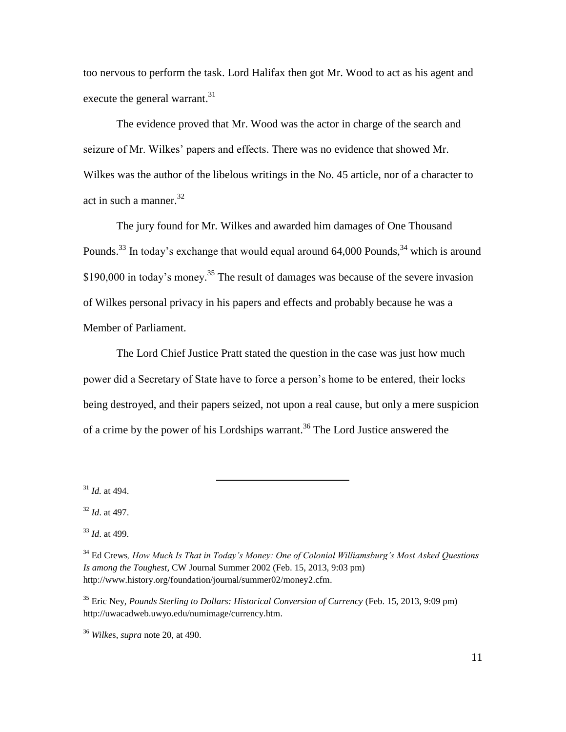too nervous to perform the task. Lord Halifax then got Mr. Wood to act as his agent and execute the general warrant.<sup>31</sup>

The evidence proved that Mr. Wood was the actor in charge of the search and seizure of Mr. Wilkes' papers and effects. There was no evidence that showed Mr. Wilkes was the author of the libelous writings in the No. 45 article, nor of a character to act in such a manner. 32

The jury found for Mr. Wilkes and awarded him damages of One Thousand Pounds.<sup>33</sup> In today's exchange that would equal around 64,000 Pounds,<sup>34</sup> which is around \$190,000 in today's money.<sup>35</sup> The result of damages was because of the severe invasion of Wilkes personal privacy in his papers and effects and probably because he was a Member of Parliament.

The Lord Chief Justice Pratt stated the question in the case was just how much power did a Secretary of State have to force a person's home to be entered, their locks being destroyed, and their papers seized, not upon a real cause, but only a mere suspicion of a crime by the power of his Lordships warrant. <sup>36</sup> The Lord Justice answered the

<sup>31</sup> *Id.* at 494.

<sup>32</sup> *Id*. at 497.

<sup>33</sup> *Id*. at 499.

<sup>34</sup> Ed Crews*, How Much Is That in Today's Money: One of Colonial Williamsburg's Most Asked Questions Is among the Toughest,* CW Journal Summer 2002 (Feb. 15, 2013, 9:03 pm) http://www.history.org/foundation/journal/summer02/money2.cfm.

<sup>35</sup> Eric Ney, *Pounds Sterling to Dollars: Historical Conversion of Currency* (Feb. 15, 2013, 9:09 pm) http://uwacadweb.uwyo.edu/numimage/currency.htm.

<sup>36</sup> *Wilke*s, *supra* note 20, at 490.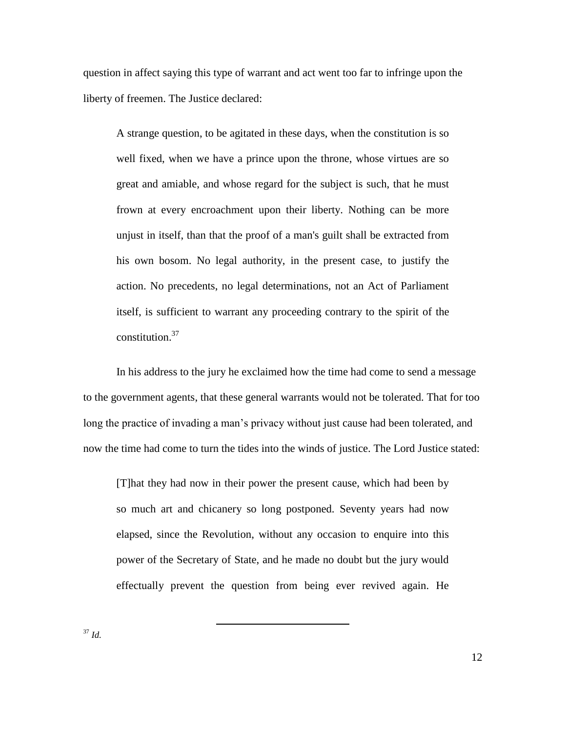question in affect saying this type of warrant and act went too far to infringe upon the liberty of freemen. The Justice declared:

A strange question, to be agitated in these days, when the constitution is so well fixed, when we have a prince upon the throne, whose virtues are so great and amiable, and whose regard for the subject is such, that he must frown at every encroachment upon their liberty. Nothing can be more unjust in itself, than that the proof of a man's guilt shall be extracted from his own bosom. No legal authority, in the present case, to justify the action. No precedents, no legal determinations, not an Act of Parliament itself, is sufficient to warrant any proceeding contrary to the spirit of the constitution. 37

In his address to the jury he exclaimed how the time had come to send a message to the government agents, that these general warrants would not be tolerated. That for too long the practice of invading a man's privacy without just cause had been tolerated, and now the time had come to turn the tides into the winds of justice. The Lord Justice stated:

[T]hat they had now in their power the present cause, which had been by so much art and chicanery so long postponed. Seventy years had now elapsed, since the Revolution, without any occasion to enquire into this power of the Secretary of State, and he made no doubt but the jury would effectually prevent the question from being ever revived again. He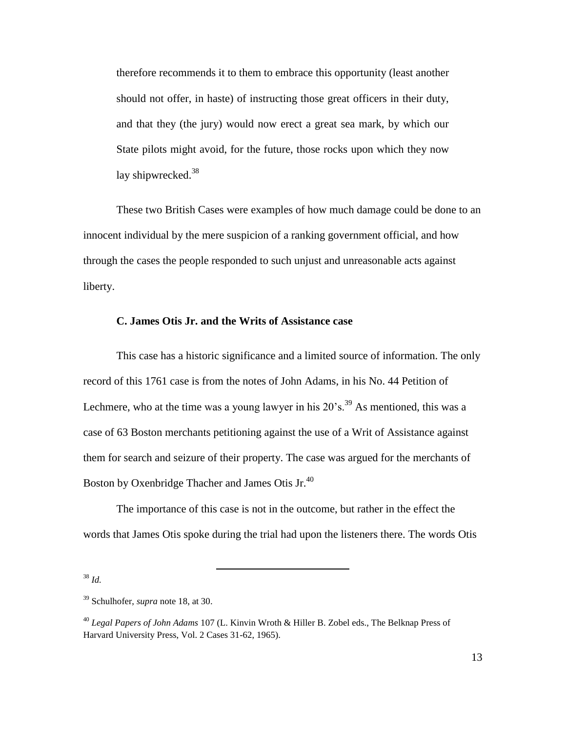therefore recommends it to them to embrace this opportunity (least another should not offer, in haste) of instructing those great officers in their duty, and that they (the jury) would now erect a great sea mark, by which our State pilots might avoid, for the future, those rocks upon which they now lay shipwrecked.<sup>38</sup>

These two British Cases were examples of how much damage could be done to an innocent individual by the mere suspicion of a ranking government official, and how through the cases the people responded to such unjust and unreasonable acts against liberty.

## **C. James Otis Jr. and the Writs of Assistance case**

This case has a historic significance and a limited source of information. The only record of this 1761 case is from the notes of John Adams, in his No. 44 Petition of Lechmere, who at the time was a young lawyer in his  $20$ 's.<sup>39</sup> As mentioned, this was a case of 63 Boston merchants petitioning against the use of a Writ of Assistance against them for search and seizure of their property. The case was argued for the merchants of Boston by Oxenbridge Thacher and James Otis Jr.<sup>40</sup>

The importance of this case is not in the outcome, but rather in the effect the words that James Otis spoke during the trial had upon the listeners there. The words Otis

<sup>38</sup> *Id.*

<sup>39</sup> Schulhofer, *supra* note 18, at 30.

<sup>40</sup> *Legal Papers of John Adams* 107 (L. Kinvin Wroth & Hiller B. Zobel eds., The Belknap Press of Harvard University Press, Vol. 2 Cases 31-62, 1965).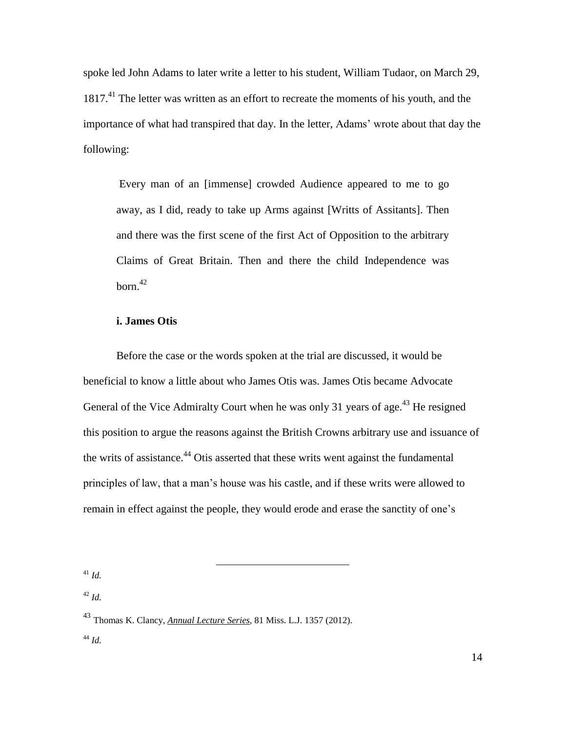spoke led John Adams to later write a letter to his student, William Tudaor, on March 29, 1817.<sup>41</sup> The letter was written as an effort to recreate the moments of his youth, and the importance of what had transpired that day. In the letter, Adams' wrote about that day the following:

Every man of an [immense] crowded Audience appeared to me to go away, as I did, ready to take up Arms against [Writts of Assitants]. Then and there was the first scene of the first Act of Opposition to the arbitrary Claims of Great Britain. Then and there the child Independence was  $born.<sup>42</sup>$ 

## **i. James Otis**

Before the case or the words spoken at the trial are discussed, it would be beneficial to know a little about who James Otis was. James Otis became Advocate General of the Vice Admiralty Court when he was only 31 years of age.<sup>43</sup> He resigned this position to argue the reasons against the British Crowns arbitrary use and issuance of the writs of assistance.<sup>44</sup> Otis asserted that these writs went against the fundamental principles of law, that a man's house was his castle, and if these writs were allowed to remain in effect against the people, they would erode and erase the sanctity of one's

<sup>41</sup> *Id.*

<sup>42</sup> *Id.*

<sup>43</sup> Thomas K. Clancy, *Annual Lecture Series*, 81 Miss. L.J. 1357 (2012). <sup>44</sup> *Id.*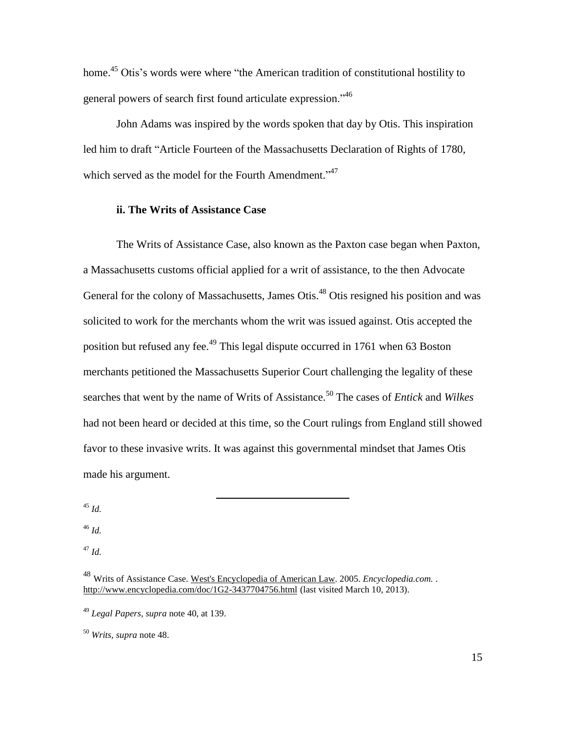home.<sup>45</sup> Otis's words were where "the American tradition of constitutional hostility to general powers of search first found articulate expression.<sup>146</sup>

John Adams was inspired by the words spoken that day by Otis. This inspiration led him to draft "Article Fourteen of the Massachusetts Declaration of Rights of 1780, which served as the model for the Fourth Amendment."<sup>47</sup>

### **ii. The Writs of Assistance Case**

The Writs of Assistance Case, also known as the Paxton case began when Paxton, a Massachusetts customs official applied for a writ of assistance, to the then Advocate General for the colony of Massachusetts, James Otis.<sup>48</sup> Otis resigned his position and was solicited to work for the merchants whom the writ was issued against. Otis accepted the position but refused any fee.<sup>49</sup> This legal dispute occurred in 1761 when 63 Boston merchants petitioned the Massachusetts Superior Court challenging the legality of these searches that went by the name of Writs of Assistance. <sup>50</sup> The cases of *Entick* and *Wilkes*  had not been heard or decided at this time, so the Court rulings from England still showed favor to these invasive writs. It was against this governmental mindset that James Otis made his argument.

<sup>45</sup> *Id.*

<sup>46</sup> *Id.*

<sup>47</sup> *Id.*

<sup>48</sup> Writs of Assistance Case. West's Encyclopedia of American Law. 2005. *Encyclopedia.com.* . <http://www.encyclopedia.com/doc/1G2-3437704756.html> (last visited March 10, 2013).

<sup>49</sup> *Legal Papers, supra* note 40, at 139.

<sup>50</sup> *Writs, supra* note 48.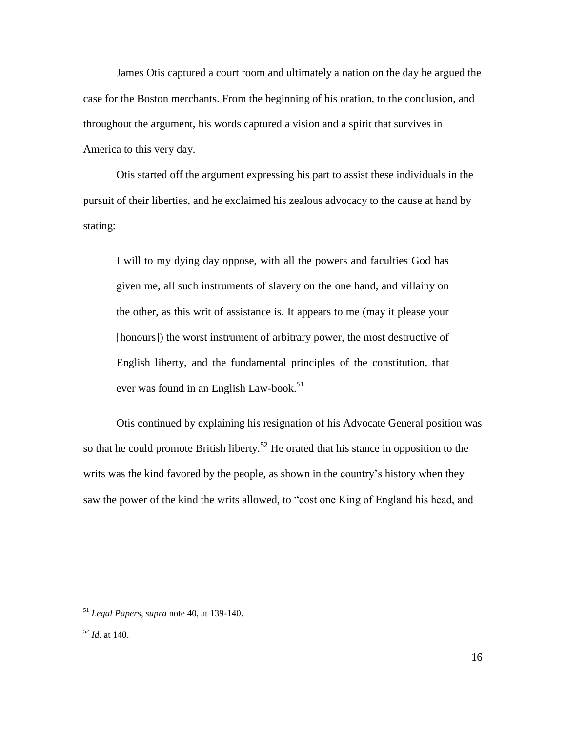James Otis captured a court room and ultimately a nation on the day he argued the case for the Boston merchants. From the beginning of his oration, to the conclusion, and throughout the argument, his words captured a vision and a spirit that survives in America to this very day.

Otis started off the argument expressing his part to assist these individuals in the pursuit of their liberties, and he exclaimed his zealous advocacy to the cause at hand by stating:

I will to my dying day oppose, with all the powers and faculties God has given me, all such instruments of slavery on the one hand, and villainy on the other, as this writ of assistance is. It appears to me (may it please your [honours]) the worst instrument of arbitrary power, the most destructive of English liberty, and the fundamental principles of the constitution, that ever was found in an English Law-book. 51

Otis continued by explaining his resignation of his Advocate General position was so that he could promote British liberty.<sup>52</sup> He orated that his stance in opposition to the writs was the kind favored by the people, as shown in the country's history when they saw the power of the kind the writs allowed, to "cost one King of England his head, and

<sup>51</sup> *Legal Papers, supra* note 40, at 139-140.

 $52$  *Id.* at 140.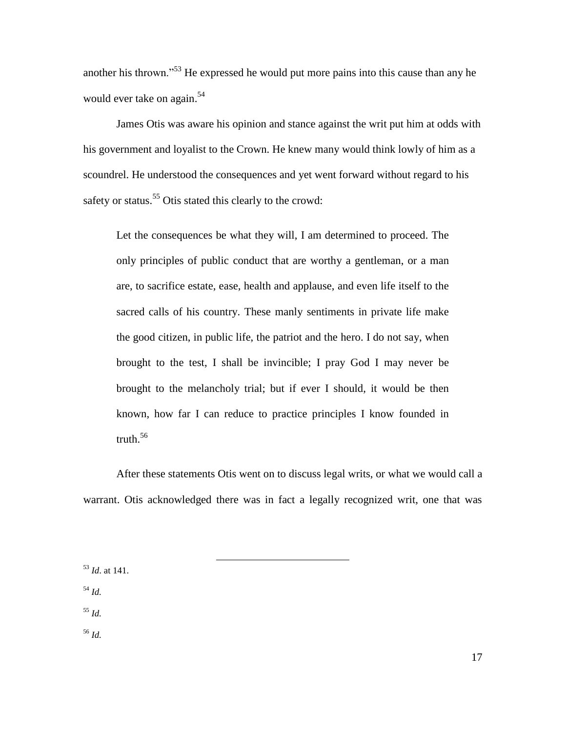another his thrown."<sup>53</sup> He expressed he would put more pains into this cause than any he would ever take on again.<sup>54</sup>

James Otis was aware his opinion and stance against the writ put him at odds with his government and loyalist to the Crown. He knew many would think lowly of him as a scoundrel. He understood the consequences and yet went forward without regard to his safety or status.<sup>55</sup> Otis stated this clearly to the crowd:

Let the consequences be what they will, I am determined to proceed. The only principles of public conduct that are worthy a gentleman, or a man are, to sacrifice estate, ease, health and applause, and even life itself to the sacred calls of his country. These manly sentiments in private life make the good citizen, in public life, the patriot and the hero. I do not say, when brought to the test, I shall be invincible; I pray God I may never be brought to the melancholy trial; but if ever I should, it would be then known, how far I can reduce to practice principles I know founded in truth. $56$ 

After these statements Otis went on to discuss legal writs, or what we would call a warrant. Otis acknowledged there was in fact a legally recognized writ, one that was

 $\overline{a}$ 

<sup>53</sup> *Id*. at 141.

<sup>54</sup> *Id.* 

<sup>55</sup> *Id.*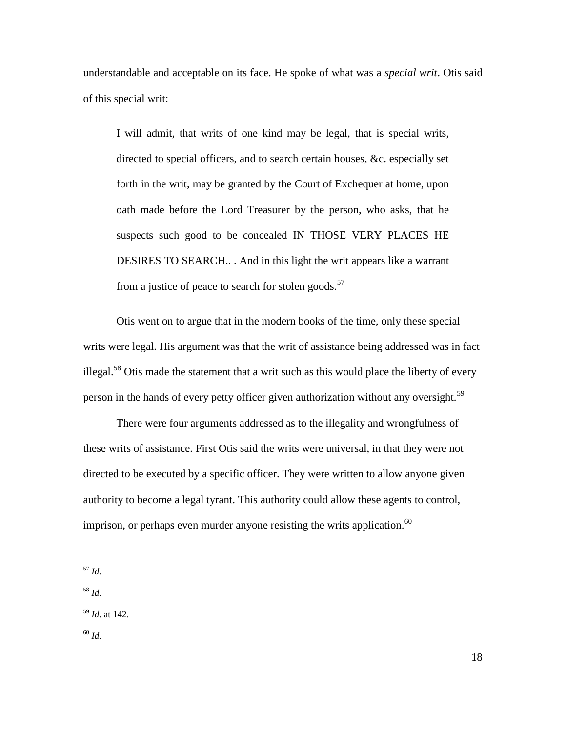understandable and acceptable on its face. He spoke of what was a *special writ*. Otis said of this special writ:

I will admit, that writs of one kind may be legal, that is special writs, directed to special officers, and to search certain houses, &c. especially set forth in the writ, may be granted by the Court of Exchequer at home, upon oath made before the Lord Treasurer by the person, who asks, that he suspects such good to be concealed IN THOSE VERY PLACES HE DESIRES TO SEARCH.. . And in this light the writ appears like a warrant from a justice of peace to search for stolen goods. $57$ 

Otis went on to argue that in the modern books of the time, only these special writs were legal. His argument was that the writ of assistance being addressed was in fact illegal.<sup>58</sup> Otis made the statement that a writ such as this would place the liberty of every person in the hands of every petty officer given authorization without any oversight.<sup>59</sup>

There were four arguments addressed as to the illegality and wrongfulness of these writs of assistance. First Otis said the writs were universal, in that they were not directed to be executed by a specific officer. They were written to allow anyone given authority to become a legal tyrant. This authority could allow these agents to control, imprison, or perhaps even murder anyone resisting the writs application.  $60$ 

 $\overline{a}$ 

<sup>57</sup> *Id.*

<sup>58</sup> *Id.* <sup>59</sup> *Id*. at 142.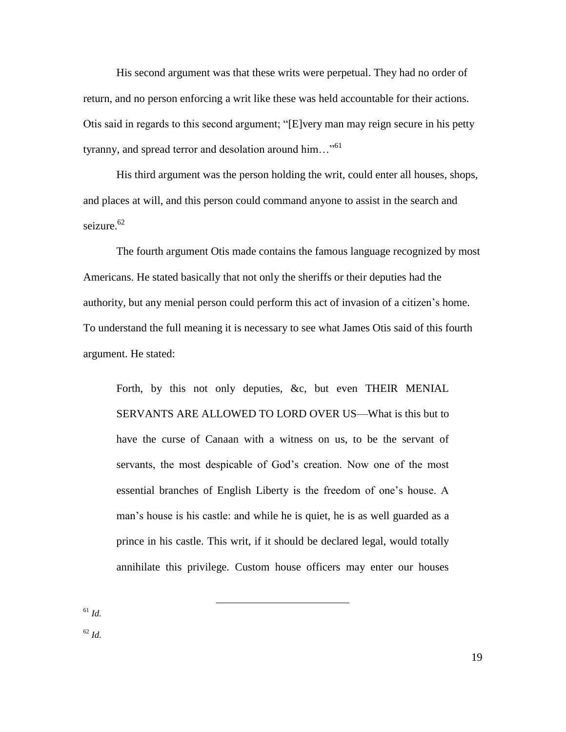His second argument was that these writs were perpetual. They had no order of return, and no person enforcing a writ like these was held accountable for their actions. Otis said in regards to this second argument; "[E]very man may reign secure in his petty tyranny, and spread terror and desolation around him... $\cdot$ <sup>61</sup>

His third argument was the person holding the writ, could enter all houses, shops, and places at will, and this person could command anyone to assist in the search and seizure. $62$ 

The fourth argument Otis made contains the famous language recognized by most Americans. He stated basically that not only the sheriffs or their deputies had the authority, but any menial person could perform this act of invasion of a citizen's home. To understand the full meaning it is necessary to see what James Otis said of this fourth argument. He stated:

Forth, by this not only deputies, &c, but even THEIR MENIAL SERVANTS ARE ALLOWED TO LORD OVER US—What is this but to have the curse of Canaan with a witness on us, to be the servant of servants, the most despicable of God's creation. Now one of the most essential branches of English Liberty is the freedom of one's house. A man's house is his castle: and while he is quiet, he is as well guarded as a prince in his castle. This writ, if it should be declared legal, would totally annihilate this privilege. Custom house officers may enter our houses

 $\overline{a}$ 

<sup>61</sup> *Id.*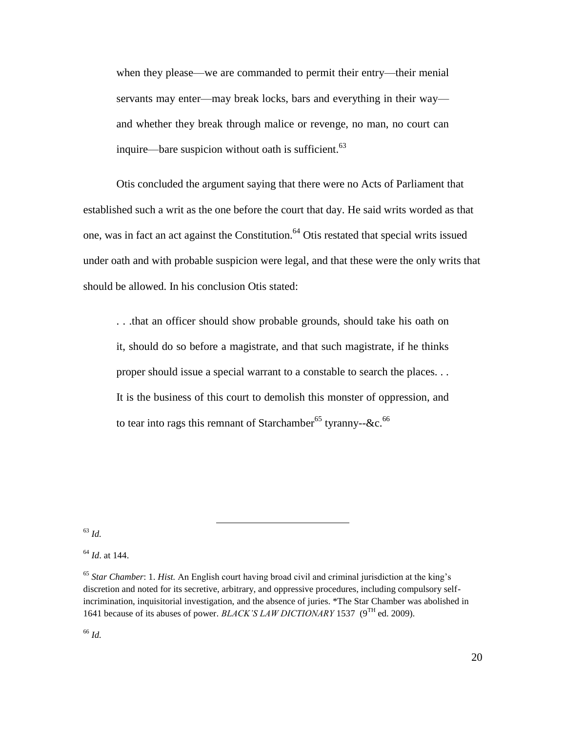when they please—we are commanded to permit their entry—their menial servants may enter—may break locks, bars and everything in their way and whether they break through malice or revenge, no man, no court can inquire—bare suspicion without oath is sufficient. $63$ 

Otis concluded the argument saying that there were no Acts of Parliament that established such a writ as the one before the court that day. He said writs worded as that one, was in fact an act against the Constitution.<sup>64</sup> Otis restated that special writs issued under oath and with probable suspicion were legal, and that these were the only writs that should be allowed. In his conclusion Otis stated:

. . .that an officer should show probable grounds, should take his oath on it, should do so before a magistrate, and that such magistrate, if he thinks proper should issue a special warrant to a constable to search the places. . . It is the business of this court to demolish this monster of oppression, and to tear into rags this remnant of Starchamber<sup>65</sup> tyranny--&c.<sup>66</sup>

<sup>63</sup> *Id.*

 $\overline{a}$ 

<sup>64</sup> *Id*. at 144.

<sup>65</sup> *Star Chamber*: 1. *Hist.* An English court having broad civil and criminal jurisdiction at the king's discretion and noted for its secretive, arbitrary, and oppressive procedures, including compulsory selfincrimination, inquisitorial investigation, and the absence of juries. \*The Star Chamber was abolished in 1641 because of its abuses of power. *BLACK'S LAW DICTIONARY* 1537 (9<sup>TH</sup> ed. 2009).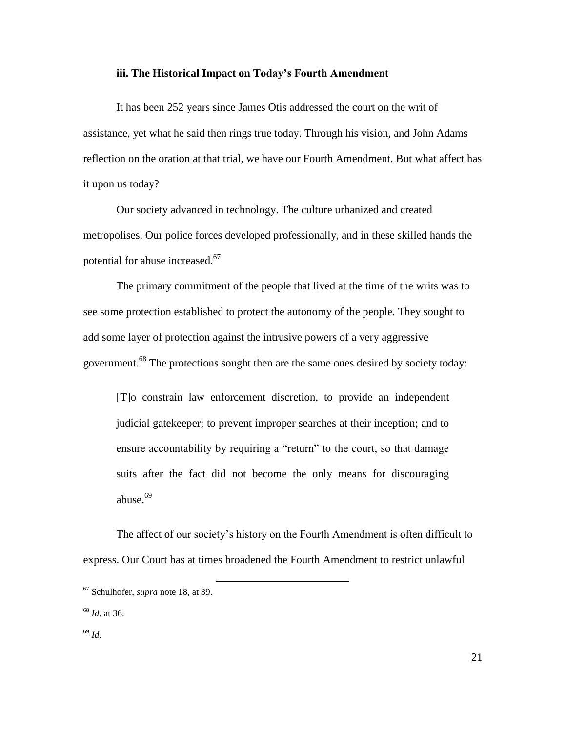#### **iii. The Historical Impact on Today's Fourth Amendment**

It has been 252 years since James Otis addressed the court on the writ of assistance, yet what he said then rings true today. Through his vision, and John Adams reflection on the oration at that trial, we have our Fourth Amendment. But what affect has it upon us today?

Our society advanced in technology. The culture urbanized and created metropolises. Our police forces developed professionally, and in these skilled hands the potential for abuse increased.<sup>67</sup>

The primary commitment of the people that lived at the time of the writs was to see some protection established to protect the autonomy of the people. They sought to add some layer of protection against the intrusive powers of a very aggressive government.<sup>68</sup> The protections sought then are the same ones desired by society today:

[T]o constrain law enforcement discretion, to provide an independent judicial gatekeeper; to prevent improper searches at their inception; and to ensure accountability by requiring a "return" to the court, so that damage suits after the fact did not become the only means for discouraging abuse.<sup>69</sup>

The affect of our society's history on the Fourth Amendment is often difficult to express. Our Court has at times broadened the Fourth Amendment to restrict unlawful

<sup>67</sup> Schulhofer, *supra* note 18, at 39.

<sup>68</sup> *Id*. at 36.

<sup>69</sup> *Id.*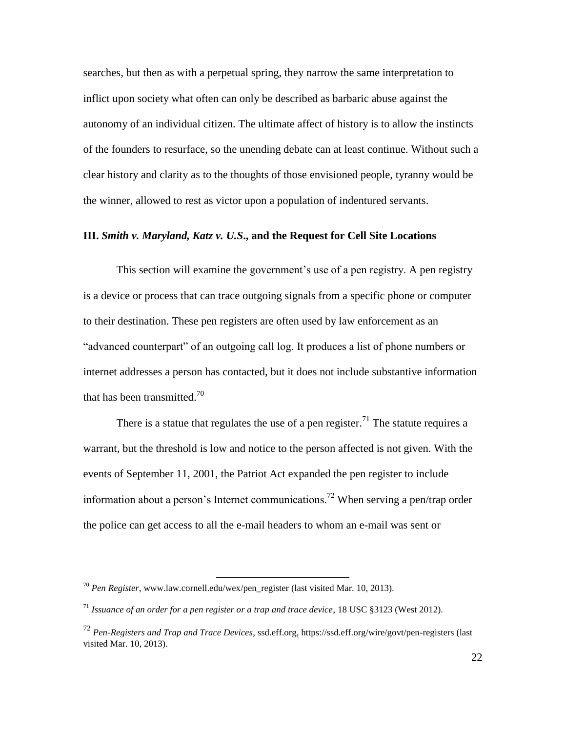searches, but then as with a perpetual spring, they narrow the same interpretation to inflict upon society what often can only be described as barbaric abuse against the autonomy of an individual citizen. The ultimate affect of history is to allow the instincts of the founders to resurface, so the unending debate can at least continue. Without such a clear history and clarity as to the thoughts of those envisioned people, tyranny would be the winner, allowed to rest as victor upon a population of indentured servants.

# **III.** *Smith v. Maryland, Katz v. U.S***., and the Request for Cell Site Locations**

This section will examine the government's use of a pen registry. A pen registry is a device or process that can trace outgoing signals from a specific phone or computer to their destination. These pen registers are often used by law enforcement as an "advanced counterpart" of an outgoing call log. It produces a list of phone numbers or internet addresses a person has contacted, but it does not include substantive information that has been transmitted.<sup>70</sup>

There is a statue that regulates the use of a pen register.<sup>71</sup> The statute requires a warrant, but the threshold is low and notice to the person affected is not given. With the events of September 11, 2001, the Patriot Act expanded the pen register to include information about a person's Internet communications.<sup>72</sup> When serving a pen/trap order the police can get access to all the e-mail headers to whom an e-mail was sent or

<sup>70</sup> *Pen Register*, [www.law.cornell.edu/wex/pen\\_register](http://www.law.cornell.edu/wex/pen_register) (last visited Mar. 10, 2013).

<sup>71</sup> *Issuance of an order for a pen register or a trap and trace device*, 18 USC §3123 (West 2012).

<sup>72</sup> *Pen-Registers and Trap and Trace Devices*, ssd.eff.org, <https://ssd.eff.org/wire/govt/pen-registers> (last visited Mar. 10, 2013).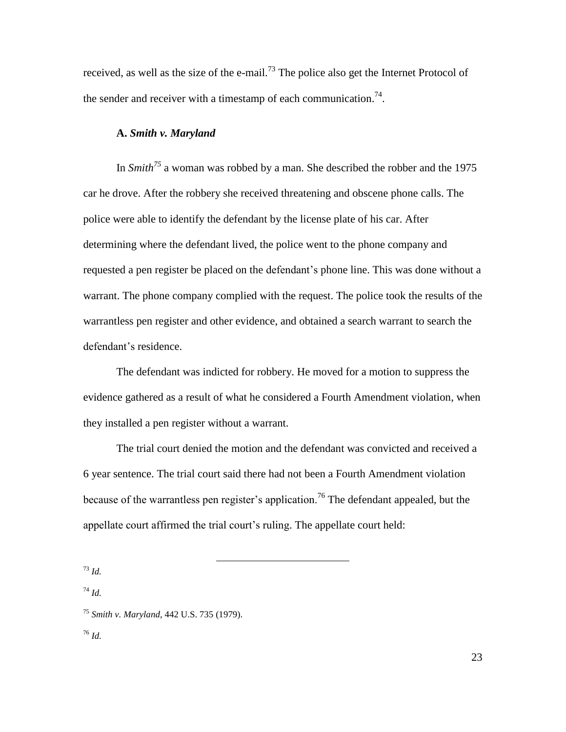received, as well as the size of the e-mail.<sup>73</sup> The police also get the Internet Protocol of the sender and receiver with a timestamp of each communication.<sup>74</sup>.

#### **A.** *Smith v. Maryland*

In *Smith<sup>75</sup>* a woman was robbed by a man. She described the robber and the 1975 car he drove. After the robbery she received threatening and obscene phone calls. The police were able to identify the defendant by the license plate of his car. After determining where the defendant lived, the police went to the phone company and requested a pen register be placed on the defendant's phone line. This was done without a warrant. The phone company complied with the request. The police took the results of the warrantless pen register and other evidence, and obtained a search warrant to search the defendant's residence.

The defendant was indicted for robbery. He moved for a motion to suppress the evidence gathered as a result of what he considered a Fourth Amendment violation, when they installed a pen register without a warrant.

The trial court denied the motion and the defendant was convicted and received a 6 year sentence. The trial court said there had not been a Fourth Amendment violation because of the warrantless pen register's application.<sup>76</sup> The defendant appealed, but the appellate court affirmed the trial court's ruling. The appellate court held:

<sup>73</sup> *Id.*

<sup>74</sup> *Id.*

<sup>75</sup> *Smith v. Maryland*, 442 U.S. 735 (1979).

<sup>76</sup> *Id.*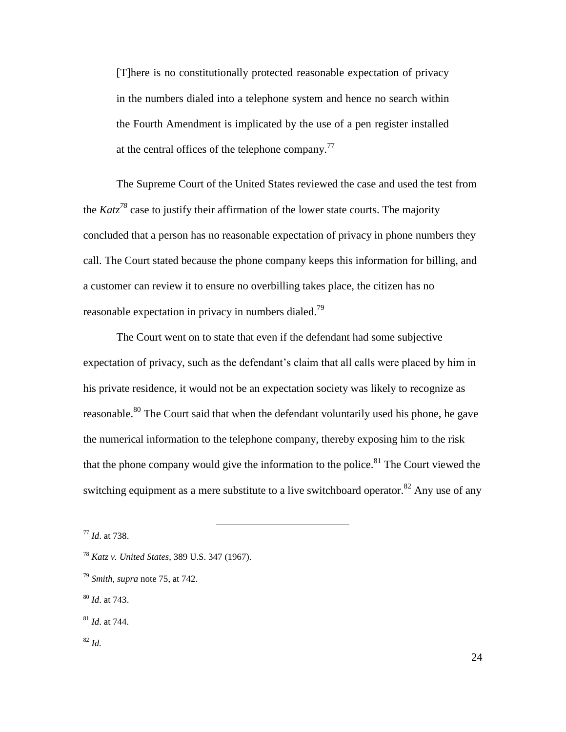[T]here is no constitutionally protected reasonable expectation of privacy in the numbers dialed into a telephone system and hence no search within the Fourth Amendment is implicated by the use of a pen register installed at the central offices of the telephone company.<sup>77</sup>

The Supreme Court of the United States reviewed the case and used the test from the *Katz<sup>78</sup>* case to justify their affirmation of the lower state courts. The majority concluded that a person has no reasonable expectation of privacy in phone numbers they call. The Court stated because the phone company keeps this information for billing, and a customer can review it to ensure no overbilling takes place, the citizen has no reasonable expectation in privacy in numbers dialed.<sup>79</sup>

The Court went on to state that even if the defendant had some subjective expectation of privacy, such as the defendant's claim that all calls were placed by him in his private residence, it would not be an expectation society was likely to recognize as reasonable.<sup>80</sup> The Court said that when the defendant voluntarily used his phone, he gave the numerical information to the telephone company, thereby exposing him to the risk that the phone company would give the information to the police.<sup>81</sup> The Court viewed the switching equipment as a mere substitute to a live switchboard operator.<sup>82</sup> Any use of any

 $\overline{a}$ 

<sup>81</sup> *Id*. at 744.

<sup>77</sup> *Id*. at 738.

<sup>78</sup> *Katz v. United States*, 389 U.S. 347 (1967).

<sup>79</sup> *Smith, supra* note 75, at 742.

<sup>80</sup> *Id*. at 743.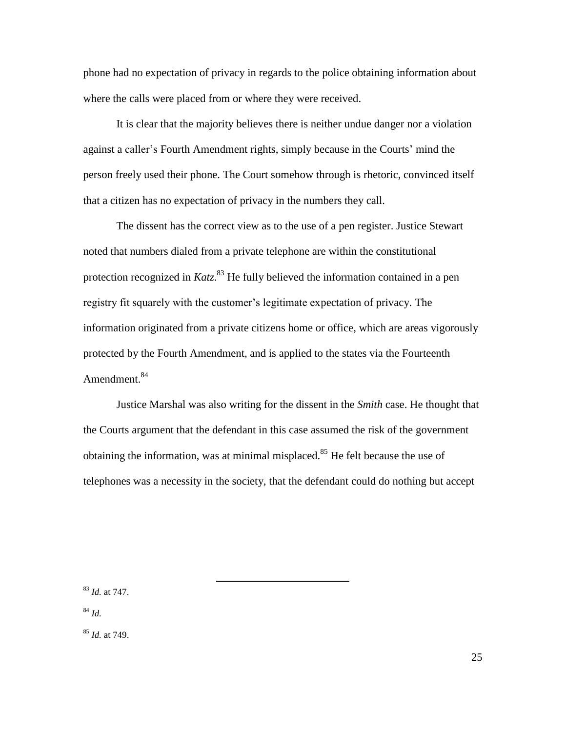phone had no expectation of privacy in regards to the police obtaining information about where the calls were placed from or where they were received.

It is clear that the majority believes there is neither undue danger nor a violation against a caller's Fourth Amendment rights, simply because in the Courts' mind the person freely used their phone. The Court somehow through is rhetoric, convinced itself that a citizen has no expectation of privacy in the numbers they call.

The dissent has the correct view as to the use of a pen register. Justice Stewart noted that numbers dialed from a private telephone are within the constitutional protection recognized in *Katz*. <sup>83</sup> He fully believed the information contained in a pen registry fit squarely with the customer's legitimate expectation of privacy. The information originated from a private citizens home or office, which are areas vigorously protected by the Fourth Amendment, and is applied to the states via the Fourteenth Amendment.<sup>84</sup>

Justice Marshal was also writing for the dissent in the *Smith* case. He thought that the Courts argument that the defendant in this case assumed the risk of the government obtaining the information, was at minimal misplaced.<sup>85</sup> He felt because the use of telephones was a necessity in the society, that the defendant could do nothing but accept

 $\overline{a}$ 

<sup>83</sup> *Id.* at 747.

<sup>84</sup> *Id.*

<sup>85</sup> *Id.* at 749.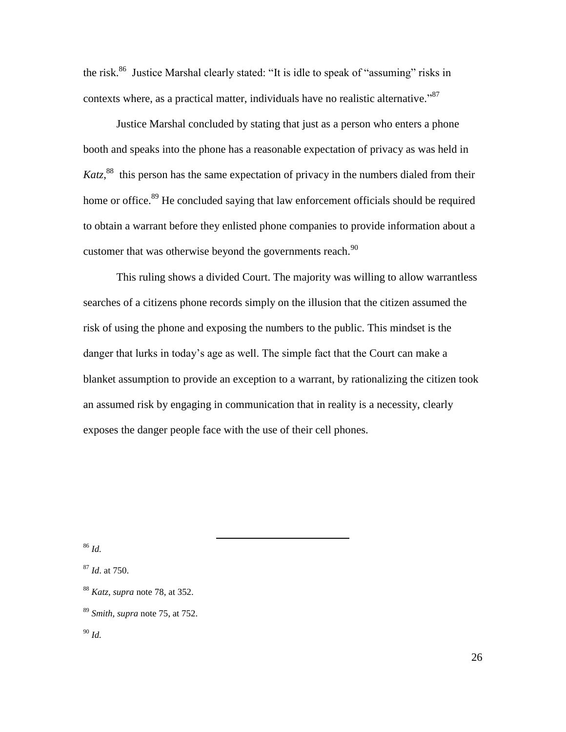the risk.<sup>86</sup> Justice Marshal clearly stated: "It is idle to speak of "assuming" risks in contexts where, as a practical matter, individuals have no realistic alternative." $87$ 

Justice Marshal concluded by stating that just as a person who enters a phone booth and speaks into the phone has a reasonable expectation of privacy as was held in Katz,<sup>88</sup> this person has the same expectation of privacy in the numbers dialed from their home or office.<sup>89</sup> He concluded saying that law enforcement officials should be required to obtain a warrant before they enlisted phone companies to provide information about a customer that was otherwise beyond the governments reach. $90$ 

This ruling shows a divided Court. The majority was willing to allow warrantless searches of a citizens phone records simply on the illusion that the citizen assumed the risk of using the phone and exposing the numbers to the public. This mindset is the danger that lurks in today's age as well. The simple fact that the Court can make a blanket assumption to provide an exception to a warrant, by rationalizing the citizen took an assumed risk by engaging in communication that in reality is a necessity, clearly exposes the danger people face with the use of their cell phones.

<sup>86</sup> *Id.*

<sup>87</sup> *Id*. at 750.

<sup>88</sup> *Katz*, *supra* note 78, at 352.

<sup>89</sup> *Smith, supra* note 75, at 752.

<sup>90</sup> *Id.*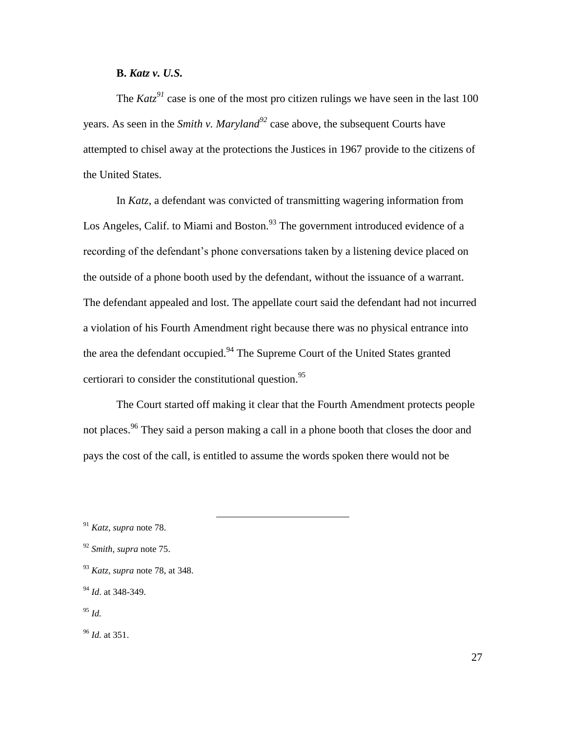# **B.** *Katz v. U.S.*

The  $Katz^{91}$  case is one of the most pro citizen rulings we have seen in the last 100 years. As seen in the *Smith v. Maryland<sup>92</sup>* case above, the subsequent Courts have attempted to chisel away at the protections the Justices in 1967 provide to the citizens of the United States.

In *Katz*, a defendant was convicted of transmitting wagering information from Los Angeles, Calif. to Miami and Boston.<sup>93</sup> The government introduced evidence of a recording of the defendant's phone conversations taken by a listening device placed on the outside of a phone booth used by the defendant, without the issuance of a warrant. The defendant appealed and lost. The appellate court said the defendant had not incurred a violation of his Fourth Amendment right because there was no physical entrance into the area the defendant occupied.<sup>94</sup> The Supreme Court of the United States granted certiorari to consider the constitutional question.<sup>95</sup>

The Court started off making it clear that the Fourth Amendment protects people not places.<sup>96</sup> They said a person making a call in a phone booth that closes the door and pays the cost of the call, is entitled to assume the words spoken there would not be

<sup>91</sup> *Katz, supra* note 78.

<sup>92</sup> *Smith, supra* note 75.

<sup>93</sup> *Katz, supra* note 78, at 348.

<sup>94</sup> *Id*. at 348-349.

<sup>95</sup> *Id.*

<sup>96</sup> *Id.* at 351.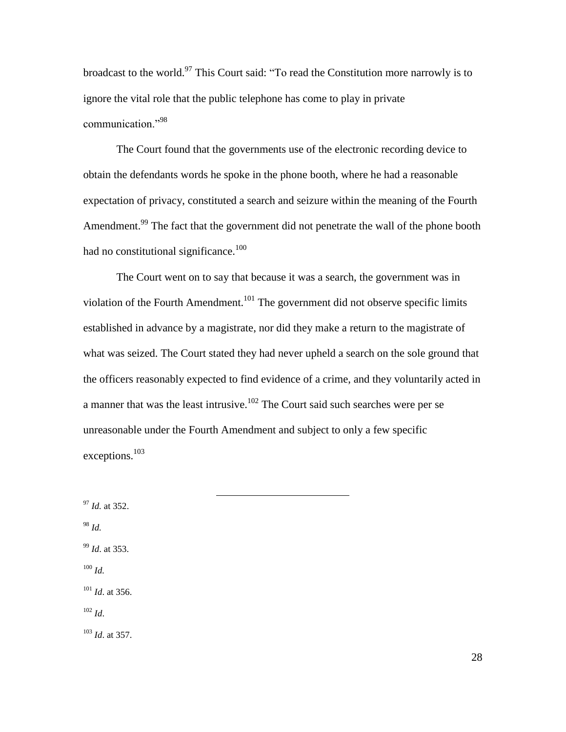broadcast to the world.<sup>97</sup> This Court said: "To read the Constitution more narrowly is to ignore the vital role that the public telephone has come to play in private communication."<sup>98</sup>

The Court found that the governments use of the electronic recording device to obtain the defendants words he spoke in the phone booth, where he had a reasonable expectation of privacy, constituted a search and seizure within the meaning of the Fourth Amendment.<sup>99</sup> The fact that the government did not penetrate the wall of the phone booth had no constitutional significance.<sup>100</sup>

The Court went on to say that because it was a search, the government was in violation of the Fourth Amendment.<sup>101</sup> The government did not observe specific limits established in advance by a magistrate, nor did they make a return to the magistrate of what was seized. The Court stated they had never upheld a search on the sole ground that the officers reasonably expected to find evidence of a crime, and they voluntarily acted in a manner that was the least intrusive.<sup>102</sup> The Court said such searches were per se unreasonable under the Fourth Amendment and subject to only a few specific exceptions.<sup>103</sup>

 $\overline{a}$ 

<sup>97</sup> *Id.* at 352. <sup>98</sup> *Id.* <sup>99</sup> *Id*. at 353. <sup>100</sup> *Id.* <sup>101</sup> *Id*. at 356. <sup>102</sup> *Id*. <sup>103</sup> *Id*. at 357.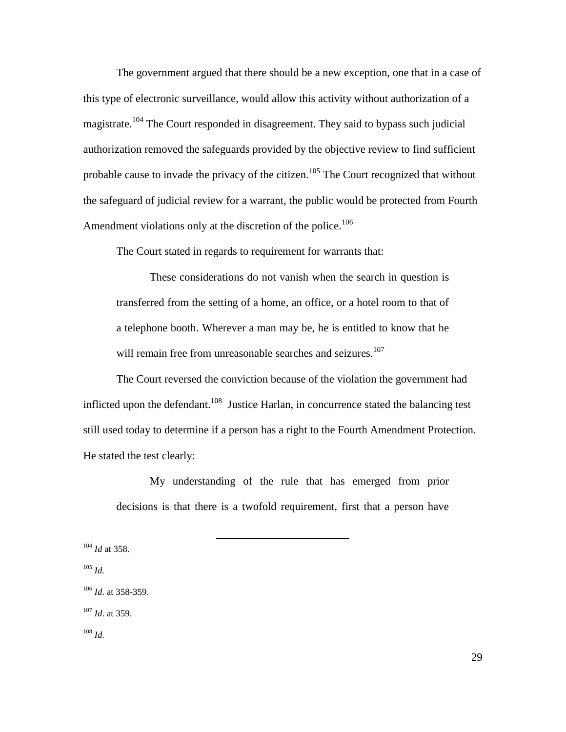The government argued that there should be a new exception, one that in a case of this type of electronic surveillance, would allow this activity without authorization of a magistrate.<sup>104</sup> The Court responded in disagreement. They said to bypass such judicial authorization removed the safeguards provided by the objective review to find sufficient probable cause to invade the privacy of the citizen.<sup>105</sup> The Court recognized that without the safeguard of judicial review for a warrant, the public would be protected from Fourth Amendment violations only at the discretion of the police.<sup>106</sup>

The Court stated in regards to requirement for warrants that:

These considerations do not vanish when the search in question is transferred from the setting of a home, an office, or a hotel room to that of a telephone booth. Wherever a man may be, he is entitled to know that he will remain free from unreasonable searches and seizures.<sup>107</sup>

The Court reversed the conviction because of the violation the government had inflicted upon the defendant.<sup>108</sup> Justice Harlan, in concurrence stated the balancing test still used today to determine if a person has a right to the Fourth Amendment Protection. He stated the test clearly:

My understanding of the rule that has emerged from prior decisions is that there is a twofold requirement, first that a person have

 $\overline{a}$ 

<sup>104</sup> *Id* at 358. <sup>105</sup> *Id.* <sup>106</sup> *Id*. at 358-359. <sup>107</sup> *Id*. at 359. <sup>108</sup> *Id.*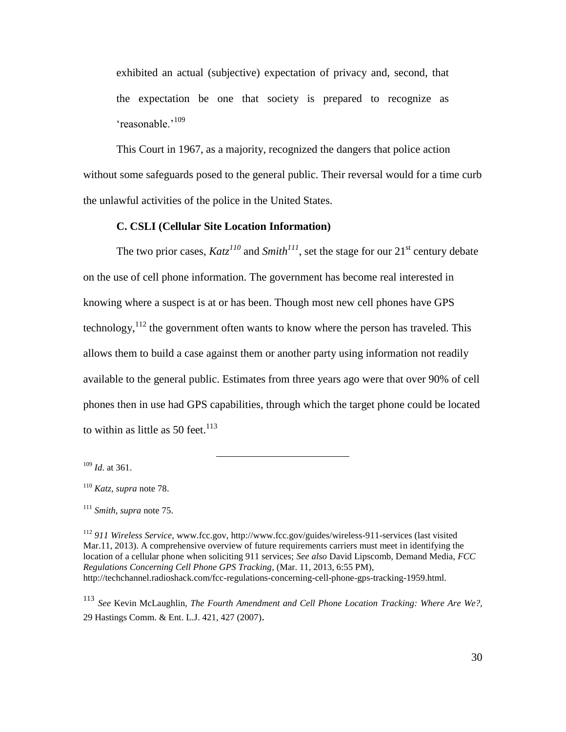exhibited an actual (subjective) expectation of privacy and, second, that the expectation be one that society is prepared to recognize as 'reasonable.'<sup>109</sup>

This Court in 1967, as a majority, recognized the dangers that police action without some safeguards posed to the general public. Their reversal would for a time curb the unlawful activities of the police in the United States.

#### **C. CSLI (Cellular Site Location Information)**

 $\overline{a}$ 

The two prior cases,  $Katz^{110}$  and  $Smith^{111}$ , set the stage for our 21<sup>st</sup> century debate on the use of cell phone information. The government has become real interested in knowing where a suspect is at or has been. Though most new cell phones have GPS technology,  $112$  the government often wants to know where the person has traveled. This allows them to build a case against them or another party using information not readily available to the general public. Estimates from three years ago were that over 90% of cell phones then in use had GPS capabilities, through which the target phone could be located to within as little as 50 feet. $113$ 

<sup>113</sup> *See* Kevin McLaughlin, *The [Fourth Amendment and Cell Phone Location Tracking: Where](https://a.next.westlaw.com/Link/Document/FullText?findType=Y&serNum=0332279391&pubNum=101336&originationContext=document&transitionType=DocumentItem&contextData=%28sc.UserEnteredCitation%29#co_pp_sp_101336_427) Are We?,* [29 Hastings Comm. & Ent.](https://a.next.westlaw.com/Link/Document/FullText?findType=Y&serNum=0332279391&pubNum=101336&originationContext=document&transitionType=DocumentItem&contextData=%28sc.UserEnteredCitation%29#co_pp_sp_101336_427) L.J. 421, 427 (2007).

<sup>109</sup> *Id*. at 361.

<sup>110</sup> *Katz, supra* note 78.

<sup>111</sup> *Smith, supra* note 75.

<sup>112</sup> *911 Wireless Service*, [www.fcc.gov,](http://www.fcc.gov/)<http://www.fcc.gov/guides/wireless-911-services> (last visited Mar.11, 2013). A comprehensive overview of future requirements carriers must meet in identifying the location of a cellular phone when soliciting 911 services; *See also* David Lipscomb, Demand Media, *FCC Regulations Concerning Cell Phone GPS Tracking,* (Mar. 11, 2013, 6:55 PM), http://techchannel.radioshack.com/fcc-regulations-concerning-cell-phone-gps-tracking-1959.html.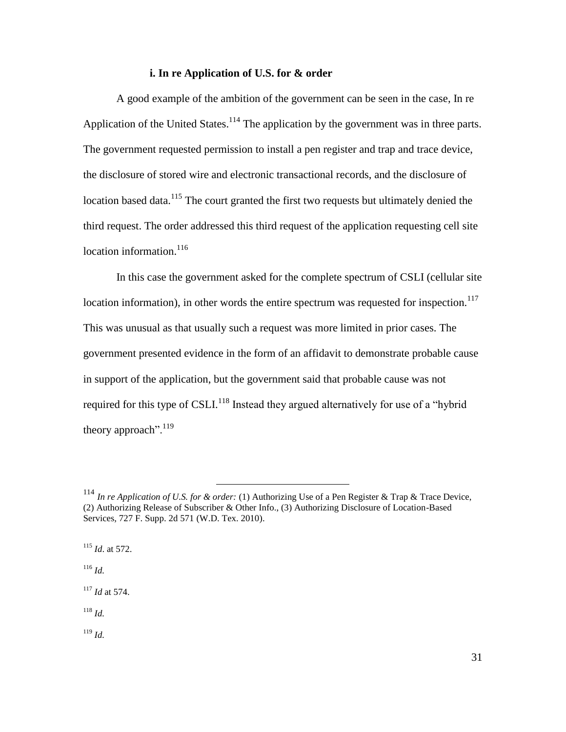#### **i. In re Application of U.S. for & order**

A good example of the ambition of the government can be seen in the case, In re Application of the United States.<sup>114</sup> The application by the government was in three parts. The government requested permission to install a pen register and trap and trace device, the disclosure of stored wire and electronic transactional records, and the disclosure of location based data.<sup>115</sup> The court granted the first two requests but ultimately denied the third request. The order addressed this third request of the application requesting cell site location information. $116$ 

In this case the government asked for the complete spectrum of CSLI (cellular site location information), in other words the entire spectrum was requested for inspection.<sup>117</sup> This was unusual as that usually such a request was more limited in prior cases. The government presented evidence in the form of an affidavit to demonstrate probable cause in support of the application, but the government said that probable cause was not required for this type of CSLI.<sup>118</sup> Instead they argued alternatively for use of a "hybrid" theory approach".<sup>119</sup>

 $\overline{a}$ 

<sup>115</sup> *Id*. at 572. <sup>116</sup> *Id.*

<sup>117</sup> *Id* at 574.

<sup>118</sup> *Id.*

<sup>114</sup> *In re Application of U.S. for & order:* (1) Authorizing Use of a Pen Register & Trap & Trace Device, (2) Authorizing Release of Subscriber & Other Info., (3) Authorizing Disclosure of Location-Based Services*,* 727 F. Supp. 2d 571 (W.D. Tex. 2010).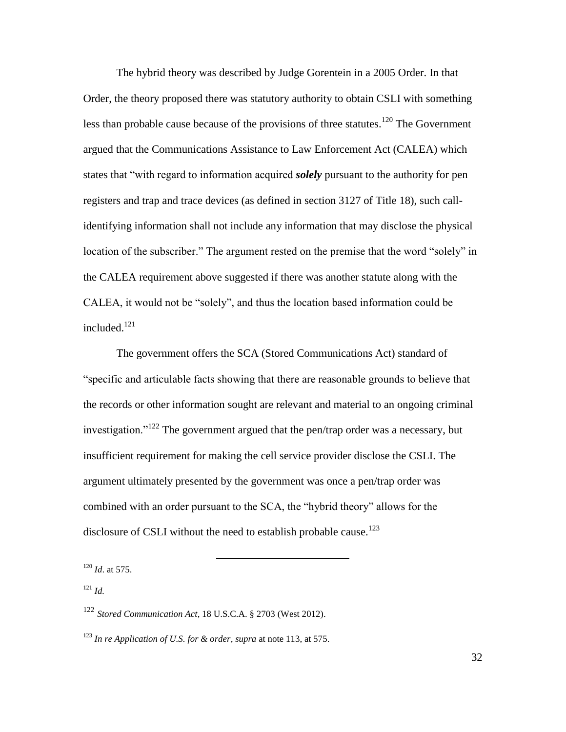The hybrid theory was described by Judge Gorentein in a 2005 Order. In that Order, the theory proposed there was statutory authority to obtain CSLI with something less than probable cause because of the provisions of three statutes.<sup>120</sup> The Government argued that the Communications Assistance to Law Enforcement Act (CALEA) which states that "with regard to information acquired *solely* pursuant to the authority for pen registers and trap and trace devices (as defined in section 3127 of Title 18), such callidentifying information shall not include any information that may disclose the physical location of the subscriber." The argument rested on the premise that the word "solely" in the CALEA requirement above suggested if there was another statute along with the CALEA, it would not be "solely", and thus the location based information could be included. $121$ 

The government offers the SCA (Stored Communications Act) standard of ―specific and articulable facts showing that there are reasonable grounds to believe that the records or other information sought are relevant and material to an ongoing criminal investigation."<sup>122</sup> The government argued that the pen/trap order was a necessary, but insufficient requirement for making the cell service provider disclose the CSLI. The argument ultimately presented by the government was once a pen/trap order was combined with an order pursuant to the SCA, the "hybrid theory" allows for the disclosure of CSLI without the need to establish probable cause.<sup>123</sup>

<sup>120</sup> *Id*. at 575.

<sup>121</sup> *Id.*

<sup>122</sup> *Stored Communication Act*, 18 U.S.C.A. § 2703 (West 2012).

<sup>123</sup> *In re Application of U.S. for & order*, *supra* at note 113, at 575.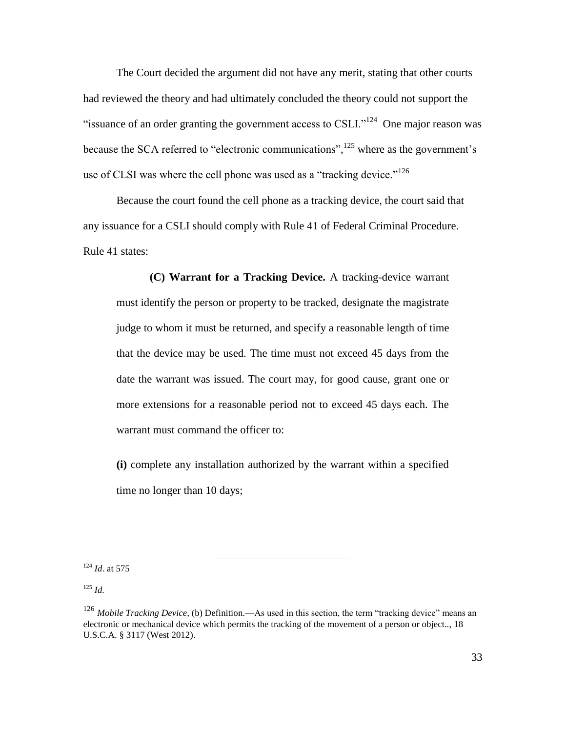The Court decided the argument did not have any merit, stating that other courts had reviewed the theory and had ultimately concluded the theory could not support the "issuance of an order granting the government access to CSLI."<sup>124</sup> One major reason was because the SCA referred to "electronic communications",  $^{125}$  where as the government's use of CLSI was where the cell phone was used as a "tracking device."<sup>126</sup>

Because the court found the cell phone as a tracking device, the court said that any issuance for a CSLI should comply with Rule 41 of Federal Criminal Procedure. Rule 41 states:

**(C) Warrant for a Tracking Device.** A tracking-device warrant must identify the person or property to be tracked, designate the magistrate judge to whom it must be returned, and specify a reasonable length of time that the device may be used. The time must not exceed 45 days from the date the warrant was issued. The court may, for good cause, grant one or more extensions for a reasonable period not to exceed 45 days each. The warrant must command the officer to:

**(i)** complete any installation authorized by the warrant within a specified time no longer than 10 days;

<sup>124</sup> *Id*. at 575

<sup>125</sup> *Id.*

<sup>&</sup>lt;sup>126</sup> Mobile Tracking Device, (b) Definition.—As used in this section, the term "tracking device" means an electronic or mechanical device which permits the tracking of the movement of a person or object.., 18 U.S.C.A. § 3117 (West 2012).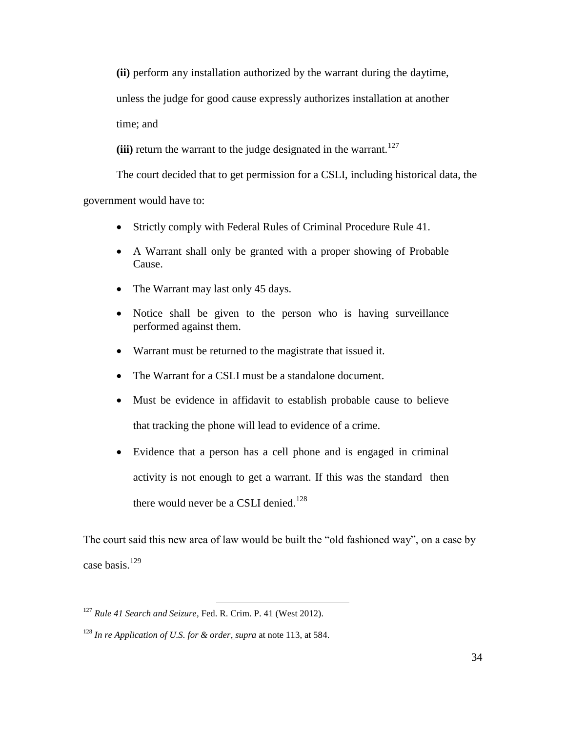**(ii)** perform any installation authorized by the warrant during the daytime,

unless the judge for good cause expressly authorizes installation at another

time; and

(iii) return the warrant to the judge designated in the warrant.<sup>127</sup>

The court decided that to get permission for a CSLI, including historical data, the

government would have to:

- Strictly comply with Federal Rules of Criminal Procedure Rule 41.
- A Warrant shall only be granted with a proper showing of Probable Cause.
- The Warrant may last only 45 days.
- Notice shall be given to the person who is having surveillance performed against them.
- Warrant must be returned to the magistrate that issued it.
- The Warrant for a CSLI must be a standalone document.
- Must be evidence in affidavit to establish probable cause to believe that tracking the phone will lead to evidence of a crime.
- Evidence that a person has a cell phone and is engaged in criminal activity is not enough to get a warrant. If this was the standard then there would never be a CSLI denied.<sup>128</sup>

The court said this new area of law would be built the "old fashioned way", on a case by case basis.<sup>129</sup>

<sup>127</sup> *Rule 41 Search and Seizure*, Fed. R. Crim. P. 41 (West 2012).

<sup>128</sup> *In re Application of U.S. for & order*, *supra* at note 113, at 584.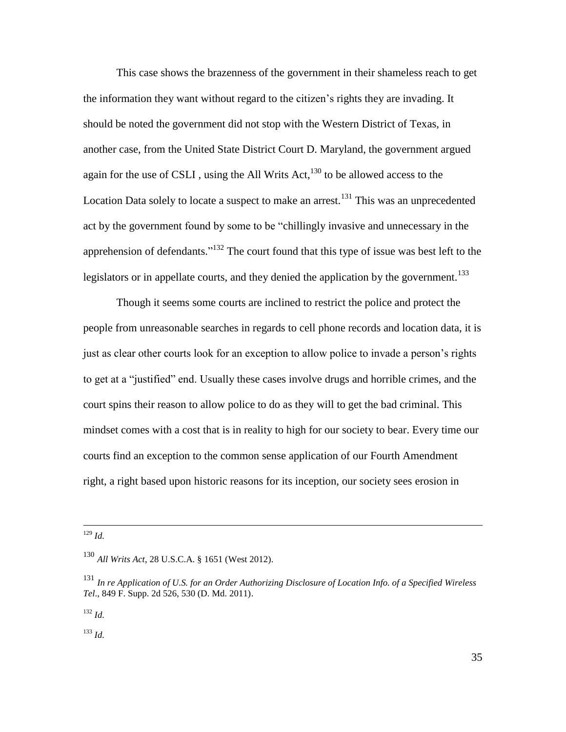This case shows the brazenness of the government in their shameless reach to get the information they want without regard to the citizen's rights they are invading. It should be noted the government did not stop with the Western District of Texas, in another case, from the United State District Court D. Maryland, the government argued again for the use of CSLI, using the All Writs  $Act, <sup>130</sup>$  to be allowed access to the Location Data solely to locate a suspect to make an arrest.<sup>131</sup> This was an unprecedented act by the government found by some to be "chillingly invasive and unnecessary in the apprehension of defendants."<sup>132</sup> The court found that this type of issue was best left to the legislators or in appellate courts, and they denied the application by the government.<sup>133</sup>

Though it seems some courts are inclined to restrict the police and protect the people from unreasonable searches in regards to cell phone records and location data, it is just as clear other courts look for an exception to allow police to invade a person's rights to get at a "justified" end. Usually these cases involve drugs and horrible crimes, and the court spins their reason to allow police to do as they will to get the bad criminal. This mindset comes with a cost that is in reality to high for our society to bear. Every time our courts find an exception to the common sense application of our Fourth Amendment right, a right based upon historic reasons for its inception, our society sees erosion in

 $\overline{a}$ 

<sup>132</sup> *Id.*

<sup>129</sup> *Id.*

<sup>130</sup> *All Writs Act*, 28 U.S.C.A. § 1651 (West 2012).

<sup>131</sup> *In re Application of U.S. for an Order Authorizing Disclosure of Location Info. of a Specified Wireless Tel*., 849 F. Supp. 2d 526, 530 (D. Md. 2011).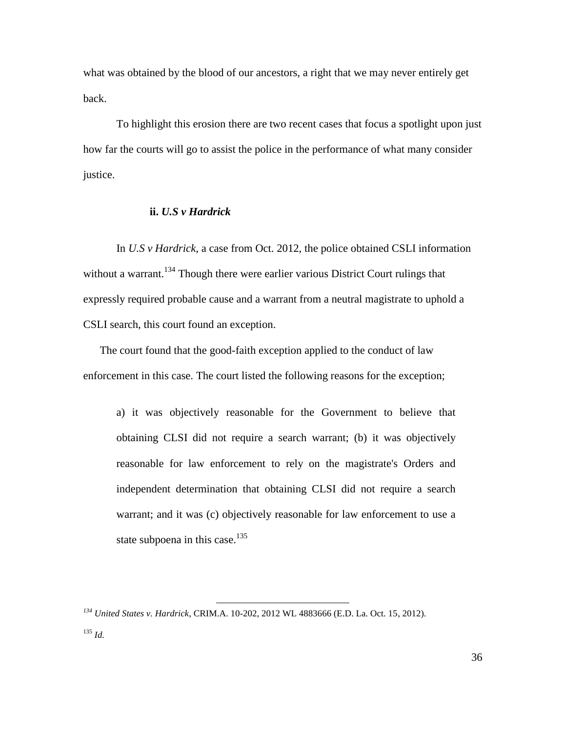what was obtained by the blood of our ancestors, a right that we may never entirely get back.

To highlight this erosion there are two recent cases that focus a spotlight upon just how far the courts will go to assist the police in the performance of what many consider justice.

#### **ii.** *U.S v Hardrick*

In *U.S v Hardrick*, a case from Oct. 2012, the police obtained CSLI information without a warrant.<sup>134</sup> Though there were earlier various District Court rulings that expressly required probable cause and a warrant from a neutral magistrate to uphold a CSLI search, this court found an exception.

The court found that the good-faith exception applied to the conduct of law enforcement in this case. The court listed the following reasons for the exception;

a) it was objectively reasonable for the Government to believe that obtaining CLSI did not require a search warrant; (b) it was objectively reasonable for law enforcement to rely on the magistrate's Orders and independent determination that obtaining CLSI did not require a search warrant; and it was (c) objectively reasonable for law enforcement to use a state subpoena in this case. $135$ 

*<sup>134</sup> United States v. Hardrick*, CRIM.A. 10-202, 2012 WL 4883666 (E.D. La. Oct. 15, 2012).

<sup>135</sup> *Id.*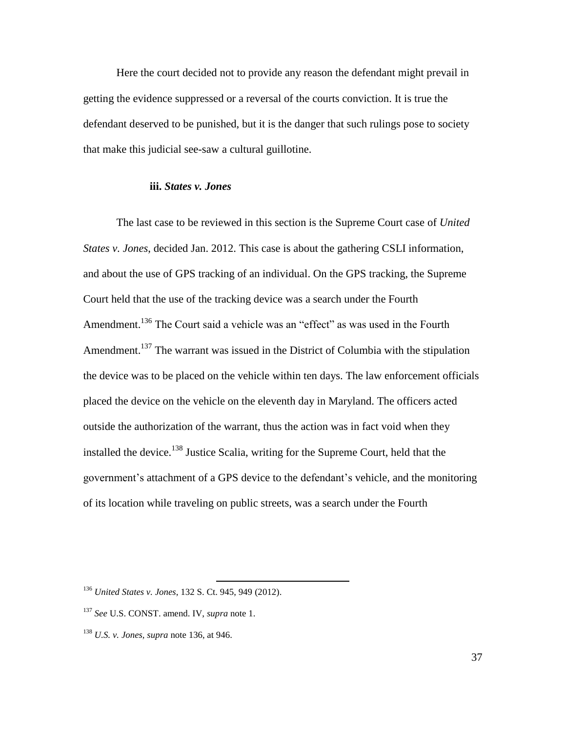Here the court decided not to provide any reason the defendant might prevail in getting the evidence suppressed or a reversal of the courts conviction. It is true the defendant deserved to be punished, but it is the danger that such rulings pose to society that make this judicial see-saw a cultural guillotine.

#### **iii.** *States v. Jones*

The last case to be reviewed in this section is the Supreme Court case of *United States v. Jones*, decided Jan. 2012. This case is about the gathering CSLI information, and about the use of GPS tracking of an individual. On the GPS tracking, the Supreme Court held that the use of the tracking device was a search under the Fourth Amendment.<sup>136</sup> The Court said a vehicle was an "effect" as was used in the Fourth Amendment.<sup>137</sup> The warrant was issued in the District of Columbia with the stipulation the device was to be placed on the vehicle within ten days. The law enforcement officials placed the device on the vehicle on the eleventh day in Maryland. The officers acted outside the authorization of the warrant, thus the action was in fact void when they installed the device.<sup>138</sup> Justice Scalia, writing for the Supreme Court, held that the government's attachment of a GPS device to the defendant's vehicle, and the monitoring of its location while traveling on public streets, was a search under the Fourth

<sup>136</sup> *United States v. Jones*, 132 S. Ct. 945, 949 (2012).

<sup>137</sup> *See* U.S. CONST. amend. IV, *supra* note 1.

<sup>138</sup> *U.S. v. Jones, supra* note 136, at 946.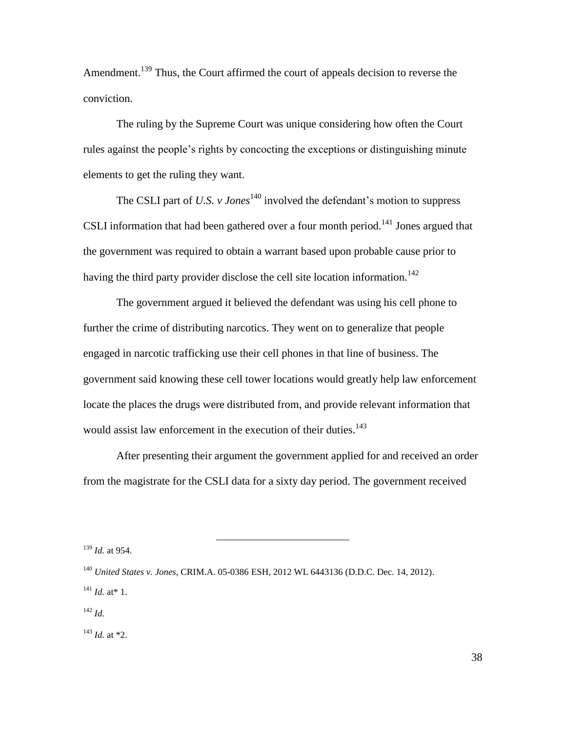Amendment.<sup>139</sup> Thus, the Court affirmed the court of appeals decision to reverse the conviction.

The ruling by the Supreme Court was unique considering how often the Court rules against the people's rights by concocting the exceptions or distinguishing minute elements to get the ruling they want.

The CSLI part of *U.S. v Jones*<sup>140</sup> involved the defendant's motion to suppress CSLI information that had been gathered over a four month period.<sup>141</sup> Jones argued that the government was required to obtain a warrant based upon probable cause prior to having the third party provider disclose the cell site location information.<sup>142</sup>

The government argued it believed the defendant was using his cell phone to further the crime of distributing narcotics. They went on to generalize that people engaged in narcotic trafficking use their cell phones in that line of business. The government said knowing these cell tower locations would greatly help law enforcement locate the places the drugs were distributed from, and provide relevant information that would assist law enforcement in the execution of their duties.<sup>143</sup>

After presenting their argument the government applied for and received an order from the magistrate for the CSLI data for a sixty day period. The government received

 $\overline{a}$ 

<sup>142</sup> *Id.*

<sup>139</sup> *Id.* at 954.

<sup>140</sup> *United States v. Jones*, CRIM.A. 05-0386 ESH, 2012 WL 6443136 (D.D.C. Dec. 14, 2012).

 $141$  *Id.* at \* 1.

 $143$  *Id.* at \*2.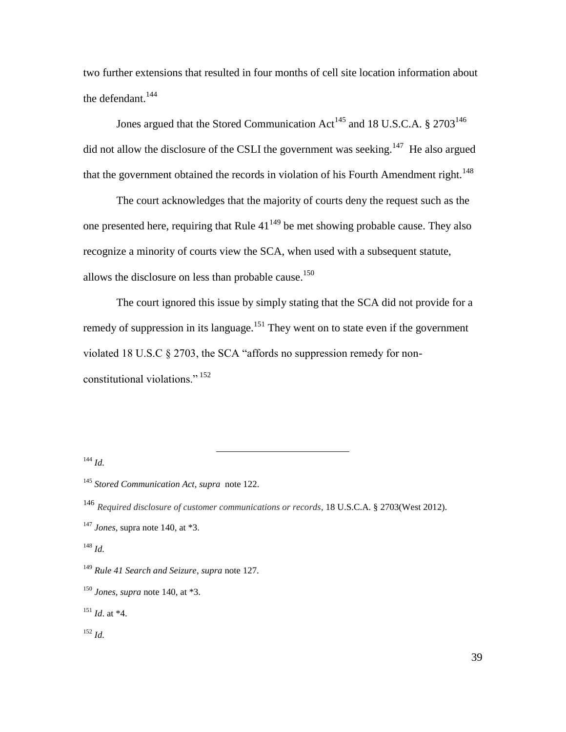two further extensions that resulted in four months of cell site location information about the defendant. $144$ 

Jones argued that the Stored Communication Act<sup>145</sup> and 18 U.S.C.A.  $\S 2703^{146}$ did not allow the disclosure of the CSLI the government was seeking.<sup>147</sup> He also argued that the government obtained the records in violation of his Fourth Amendment right.<sup>148</sup>

The court acknowledges that the majority of courts deny the request such as the one presented here, requiring that Rule  $41^{149}$  be met showing probable cause. They also recognize a minority of courts view the SCA, when used with a subsequent statute, allows the disclosure on less than probable cause.<sup>150</sup>

The court ignored this issue by simply stating that the SCA did not provide for a remedy of suppression in its language.<sup>151</sup> They went on to state even if the government violated 18 U.S.C  $\S 2703$ , the SCA "affords no suppression remedy for nonconstitutional violations."<sup>152</sup>

<sup>144</sup> *Id.*

 $\overline{a}$ 

<sup>151</sup> *Id*. at \*4.

<sup>145</sup> *Stored Communication Act, supra* note 122.

<sup>146</sup> *Required disclosure of customer communications or records*, 18 U.S.C.A. § 2703(West 2012). <sup>147</sup> *Jones*, supra note 140, at \*3.

<sup>148</sup> *Id.*

<sup>149</sup> *Rule 41 Search and Seizure, supra* note 127.

<sup>150</sup> *Jones, supra* note 140, at \*3.

<sup>152</sup> *Id.*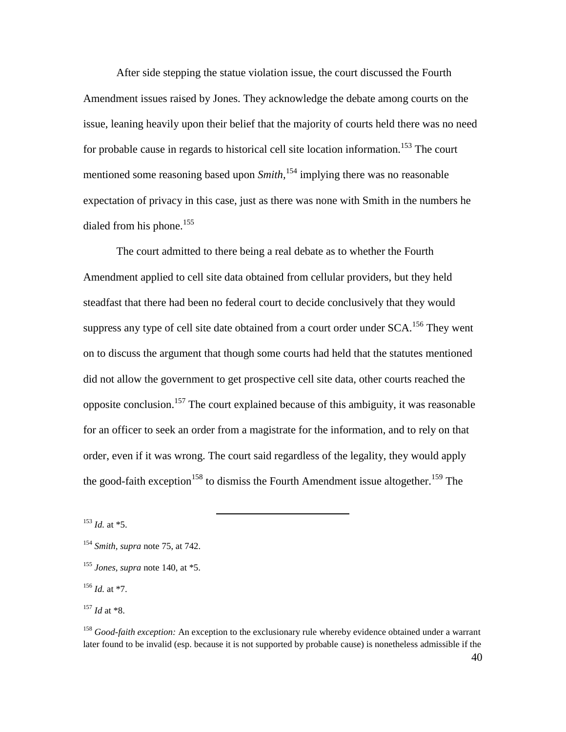After side stepping the statue violation issue, the court discussed the Fourth Amendment issues raised by Jones. They acknowledge the debate among courts on the issue, leaning heavily upon their belief that the majority of courts held there was no need for probable cause in regards to historical cell site location information.<sup>153</sup> The court mentioned some reasoning based upon *Smith,* <sup>154</sup> implying there was no reasonable expectation of privacy in this case, just as there was none with Smith in the numbers he dialed from his phone.<sup>155</sup>

The court admitted to there being a real debate as to whether the Fourth Amendment applied to cell site data obtained from cellular providers, but they held steadfast that there had been no federal court to decide conclusively that they would suppress any type of cell site date obtained from a court order under  $SCA$ <sup>156</sup>. They went on to discuss the argument that though some courts had held that the statutes mentioned did not allow the government to get prospective cell site data, other courts reached the opposite conclusion.<sup>157</sup> The court explained because of this ambiguity, it was reasonable for an officer to seek an order from a magistrate for the information, and to rely on that order, even if it was wrong. The court said regardless of the legality, they would apply the good-faith exception<sup>158</sup> to dismiss the Fourth Amendment issue altogether.<sup>159</sup> The

 $^{153}$  *Id.* at  $*5$ .

 $\overline{a}$ 

<sup>156</sup> *Id.* at \*7.

<sup>158</sup> *Good-faith exception:* An exception to the exclusionary rule whereby evidence obtained under a warrant later found to be invalid (esp. because it is not supported by probable cause) is nonetheless admissible if the

40

<sup>154</sup> *Smith, supra* note 75, at 742.

<sup>155</sup> *Jones, supra* note 140, at \*5.

<sup>157</sup> *Id* at \*8.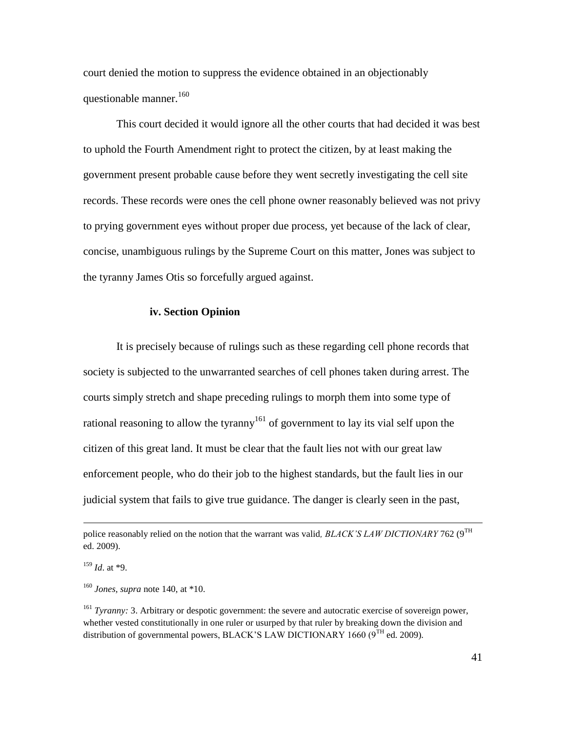court denied the motion to suppress the evidence obtained in an objectionably questionable manner.<sup>160</sup>

This court decided it would ignore all the other courts that had decided it was best to uphold the Fourth Amendment right to protect the citizen, by at least making the government present probable cause before they went secretly investigating the cell site records. These records were ones the cell phone owner reasonably believed was not privy to prying government eyes without proper due process, yet because of the lack of clear, concise, unambiguous rulings by the Supreme Court on this matter, Jones was subject to the tyranny James Otis so forcefully argued against.

#### **iv. Section Opinion**

It is precisely because of rulings such as these regarding cell phone records that society is subjected to the unwarranted searches of cell phones taken during arrest. The courts simply stretch and shape preceding rulings to morph them into some type of rational reasoning to allow the tyranny<sup>161</sup> of government to lay its vial self upon the citizen of this great land. It must be clear that the fault lies not with our great law enforcement people, who do their job to the highest standards, but the fault lies in our judicial system that fails to give true guidance. The danger is clearly seen in the past,

police reasonably relied on the notion that the warrant was valid, BLACK'S LAW DICTIONARY 762 (9<sup>TH</sup> ed. 2009).

<sup>159</sup> *Id*. at \*9.

<sup>160</sup> *Jones, supra* note 140, at \*10.

<sup>161</sup> *Tyranny:* 3. Arbitrary or despotic government: the severe and autocratic exercise of sovereign power, whether vested constitutionally in one ruler or usurped by that ruler by breaking down the division and distribution of governmental powers, BLACK'S LAW DICTIONARY 1660 ( $9<sup>TH</sup>$  ed. 2009).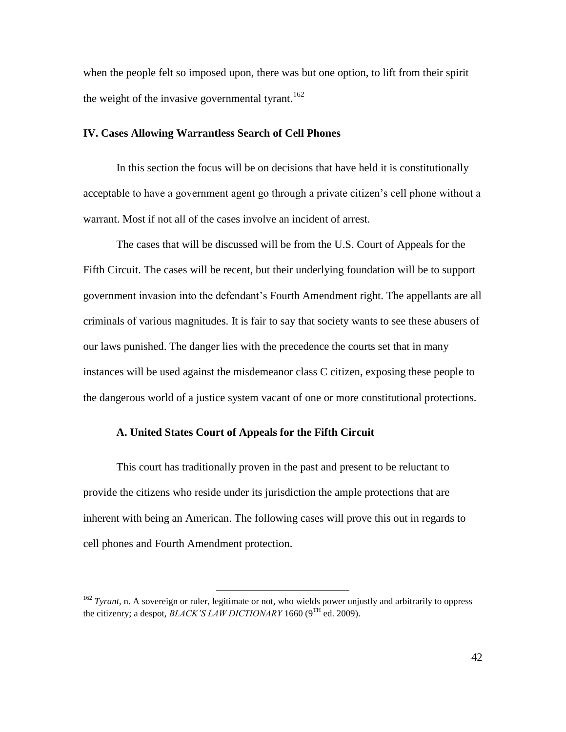when the people felt so imposed upon, there was but one option, to lift from their spirit the weight of the invasive governmental tyrant.<sup>162</sup>

#### **IV. Cases Allowing Warrantless Search of Cell Phones**

In this section the focus will be on decisions that have held it is constitutionally acceptable to have a government agent go through a private citizen's cell phone without a warrant. Most if not all of the cases involve an incident of arrest.

The cases that will be discussed will be from the U.S. Court of Appeals for the Fifth Circuit. The cases will be recent, but their underlying foundation will be to support government invasion into the defendant's Fourth Amendment right. The appellants are all criminals of various magnitudes. It is fair to say that society wants to see these abusers of our laws punished. The danger lies with the precedence the courts set that in many instances will be used against the misdemeanor class C citizen, exposing these people to the dangerous world of a justice system vacant of one or more constitutional protections.

# **A. United States Court of Appeals for the Fifth Circuit**

 $\overline{a}$ 

This court has traditionally proven in the past and present to be reluctant to provide the citizens who reside under its jurisdiction the ample protections that are inherent with being an American. The following cases will prove this out in regards to cell phones and Fourth Amendment protection.

<sup>&</sup>lt;sup>162</sup> *Tyrant*, n. A sovereign or ruler, legitimate or not, who wields power unjustly and arbitrarily to oppress the citizenry; a despot, *BLACK'S LAW DICTIONARY* 1660 (9<sup>TH</sup> ed. 2009).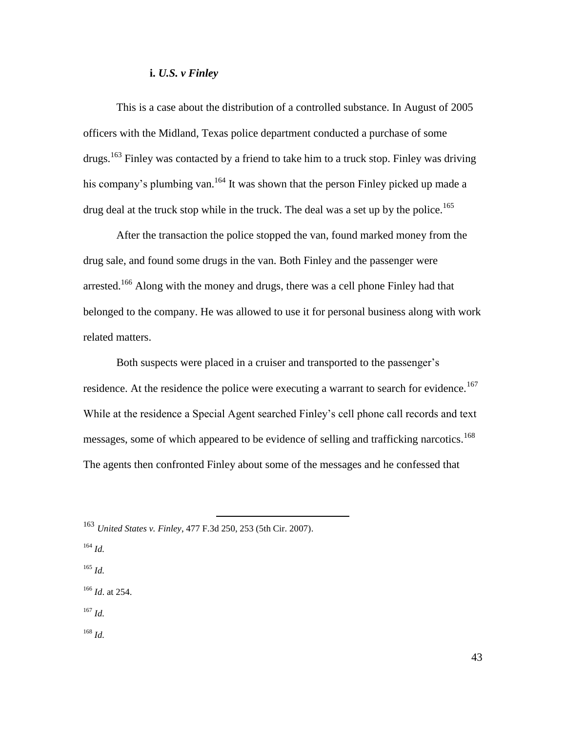## **i.** *U.S. v Finley*

This is a case about the distribution of a controlled substance. In August of 2005 officers with the Midland, Texas police department conducted a purchase of some drugs.<sup>163</sup> Finley was contacted by a friend to take him to a truck stop. Finley was driving his company's plumbing van.<sup>164</sup> It was shown that the person Finley picked up made a drug deal at the truck stop while in the truck. The deal was a set up by the police.<sup>165</sup>

After the transaction the police stopped the van, found marked money from the drug sale, and found some drugs in the van. Both Finley and the passenger were arrested.<sup>166</sup> Along with the money and drugs, there was a cell phone Finley had that belonged to the company. He was allowed to use it for personal business along with work related matters.

Both suspects were placed in a cruiser and transported to the passenger's residence. At the residence the police were executing a warrant to search for evidence.<sup>167</sup> While at the residence a Special Agent searched Finley's cell phone call records and text messages, some of which appeared to be evidence of selling and trafficking narcotics.<sup>168</sup> The agents then confronted Finley about some of the messages and he confessed that

 $\overline{a}$ 

- <sup>164</sup> *Id.*
- <sup>165</sup> *Id.*
- <sup>166</sup> *Id*. at 254.
- <sup>167</sup> *Id.*

<sup>168</sup> *Id.*

<sup>163</sup> *United States v. Finley*, 477 F.3d 250, 253 (5th Cir. 2007).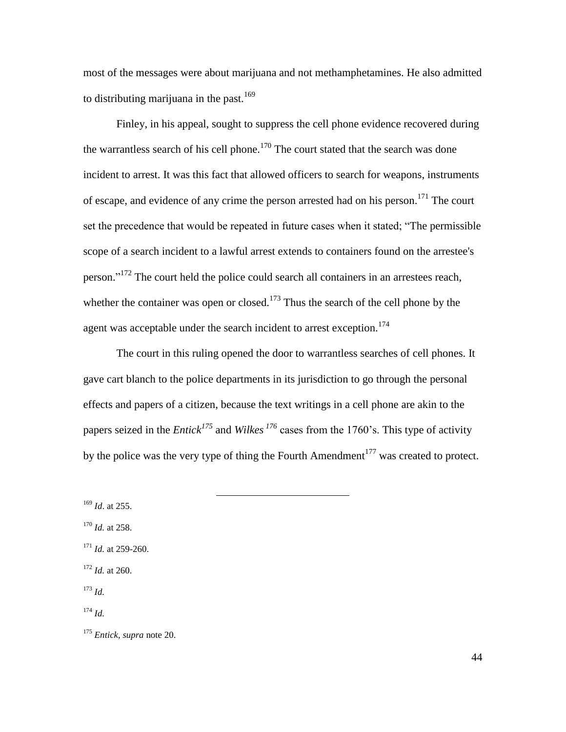most of the messages were about marijuana and not methamphetamines. He also admitted to distributing marijuana in the past. $169$ 

Finley, in his appeal, sought to suppress the cell phone evidence recovered during the warrantless search of his cell phone.<sup>170</sup> The court stated that the search was done incident to arrest. It was this fact that allowed officers to search for weapons, instruments of escape, and evidence of any crime the person arrested had on his person.<sup>171</sup> The court set the precedence that would be repeated in future cases when it stated; "The permissible scope of a search incident to a lawful arrest extends to containers found on the arrestee's person."<sup>172</sup> The court held the police could search all containers in an arrestees reach, whether the container was open or closed.<sup>173</sup> Thus the search of the cell phone by the agent was acceptable under the search incident to arrest exception.<sup>174</sup>

The court in this ruling opened the door to warrantless searches of cell phones. It gave cart blanch to the police departments in its jurisdiction to go through the personal effects and papers of a citizen, because the text writings in a cell phone are akin to the papers seized in the *Entick<sup>175</sup>* and *Wilkes <sup>176</sup>* cases from the 1760's. This type of activity by the police was the very type of thing the Fourth Amendment<sup>177</sup> was created to protect.

 $\overline{a}$ 

<sup>169</sup> *Id*. at 255.

- <sup>170</sup> *Id.* at 258.
- <sup>171</sup> *Id.* at 259-260.
- $172$  *Id.* at 260.

<sup>173</sup> *Id.*

<sup>174</sup> *Id.*

<sup>175</sup> *Entick, supra* note 20.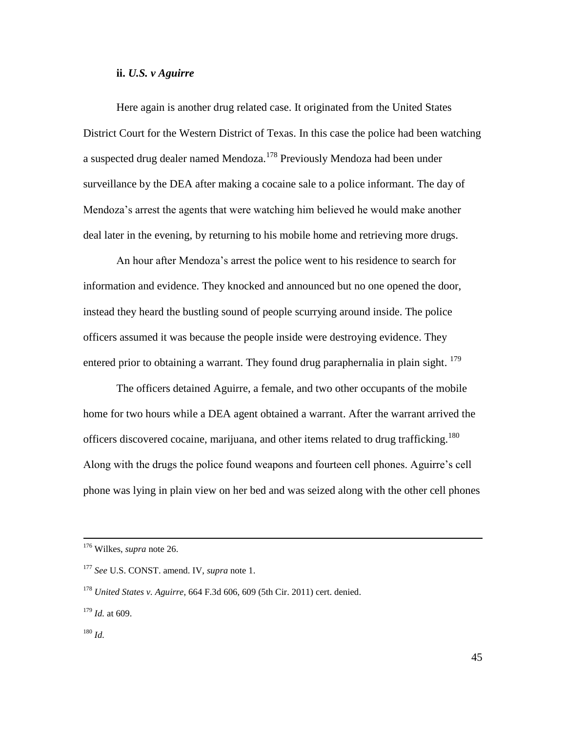### **ii.** *U.S. v Aguirre*

Here again is another drug related case. It originated from the United States District Court for the Western District of Texas. In this case the police had been watching a suspected drug dealer named Mendoza.<sup>178</sup> Previously Mendoza had been under surveillance by the DEA after making a cocaine sale to a police informant. The day of Mendoza's arrest the agents that were watching him believed he would make another deal later in the evening, by returning to his mobile home and retrieving more drugs.

An hour after Mendoza's arrest the police went to his residence to search for information and evidence. They knocked and announced but no one opened the door, instead they heard the bustling sound of people scurrying around inside. The police officers assumed it was because the people inside were destroying evidence. They entered prior to obtaining a warrant. They found drug paraphernalia in plain sight. <sup>179</sup>

The officers detained Aguirre, a female, and two other occupants of the mobile home for two hours while a DEA agent obtained a warrant. After the warrant arrived the officers discovered cocaine, marijuana, and other items related to drug trafficking.<sup>180</sup> Along with the drugs the police found weapons and fourteen cell phones. Aguirre's cell phone was lying in plain view on her bed and was seized along with the other cell phones

<sup>176</sup> Wilkes, *supra* note 26.

<sup>177</sup> *See* U.S. CONST. amend. IV, *supra* note 1.

<sup>178</sup> *United States v. Aguirre*, 664 F.3d 606, 609 (5th Cir. 2011) cert. denied.

<sup>179</sup> *Id.* at 609.

<sup>180</sup> *Id.*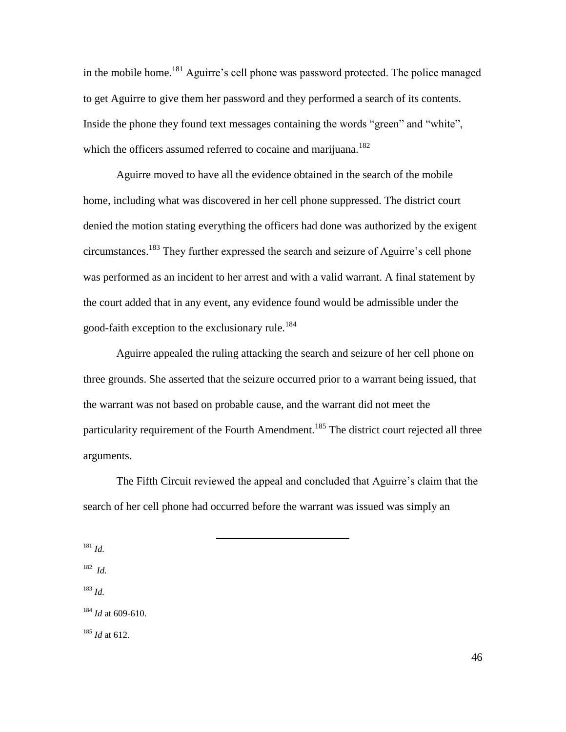in the mobile home.<sup>181</sup> Aguirre's cell phone was password protected. The police managed to get Aguirre to give them her password and they performed a search of its contents. Inside the phone they found text messages containing the words "green" and "white", which the officers assumed referred to cocaine and marijuana.<sup>182</sup>

Aguirre moved to have all the evidence obtained in the search of the mobile home, including what was discovered in her cell phone suppressed. The district court denied the motion stating everything the officers had done was authorized by the exigent circumstances.<sup>183</sup> They further expressed the search and seizure of Aguirre's cell phone was performed as an incident to her arrest and with a valid warrant. A final statement by the court added that in any event, any evidence found would be admissible under the good-faith exception to the exclusionary rule.<sup>184</sup>

Aguirre appealed the ruling attacking the search and seizure of her cell phone on three grounds. She asserted that the seizure occurred prior to a warrant being issued, that the warrant was not based on probable cause, and the warrant did not meet the particularity requirement of the Fourth Amendment.<sup>185</sup> The district court rejected all three arguments.

The Fifth Circuit reviewed the appeal and concluded that Aguirre's claim that the search of her cell phone had occurred before the warrant was issued was simply an

 $\overline{a}$ 

<sup>181</sup> *Id.*

182 *Id.*

<sup>183</sup> *Id.*

<sup>184</sup> *Id* at 609-610.

<sup>185</sup> *Id* at 612.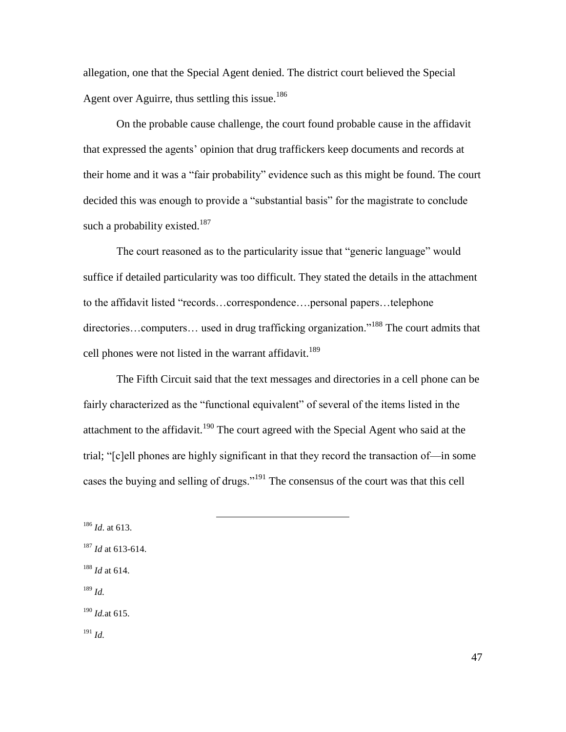allegation, one that the Special Agent denied. The district court believed the Special Agent over Aguirre, thus settling this issue.<sup>186</sup>

On the probable cause challenge, the court found probable cause in the affidavit that expressed the agents' opinion that drug traffickers keep documents and records at their home and it was a "fair probability" evidence such as this might be found. The court decided this was enough to provide a "substantial basis" for the magistrate to conclude such a probability existed.<sup>187</sup>

The court reasoned as to the particularity issue that "generic language" would suffice if detailed particularity was too difficult. They stated the details in the attachment to the affidavit listed "records...correspondence....personal papers...telephone directories...computers... used in drug trafficking organization."<sup>188</sup> The court admits that cell phones were not listed in the warrant affidavit.<sup>189</sup>

The Fifth Circuit said that the text messages and directories in a cell phone can be fairly characterized as the "functional equivalent" of several of the items listed in the attachment to the affidavit.<sup>190</sup> The court agreed with the Special Agent who said at the trial; "[c]ell phones are highly significant in that they record the transaction of—in some cases the buying and selling of drugs."<sup>191</sup> The consensus of the court was that this cell

 $\overline{a}$ 

 *Id*. at 613. *Id* at 613-614. *Id* at 614. <sup>189</sup> *Id. Id.*at 615. <sup>191</sup> *Id.*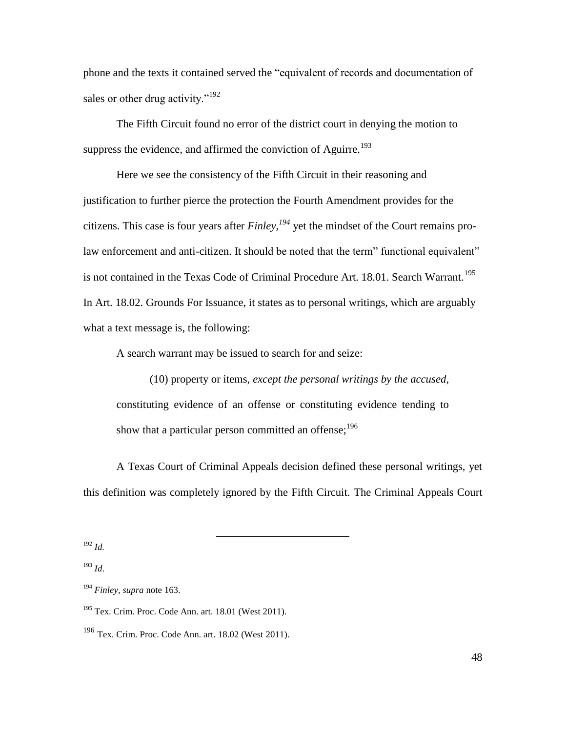phone and the texts it contained served the "equivalent of records and documentation of sales or other drug activity."<sup>192</sup>

The Fifth Circuit found no error of the district court in denying the motion to suppress the evidence, and affirmed the conviction of Aguirre.<sup>193</sup>

Here we see the consistency of the Fifth Circuit in their reasoning and justification to further pierce the protection the Fourth Amendment provides for the citizens. This case is four years after *Finley, <sup>194</sup>* yet the mindset of the Court remains prolaw enforcement and anti-citizen. It should be noted that the term" functional equivalent" is not contained in the Texas Code of Criminal Procedure Art. 18.01. Search Warrant.<sup>195</sup> In Art. 18.02. Grounds For Issuance, it states as to personal writings, which are arguably what a text message is, the following:

A search warrant may be issued to search for and seize:

(10) property or items, *except the personal writings by the accused*, constituting evidence of an offense or constituting evidence tending to show that a particular person committed an offense; $196$ 

A Texas Court of Criminal Appeals decision defined these personal writings, yet this definition was completely ignored by the Fifth Circuit. The Criminal Appeals Court

<sup>192</sup> *Id.*

<sup>193</sup> *Id*.

<sup>194</sup> *Finley, supra* note 163.

 $195$  Tex. Crim. Proc. Code Ann. art. 18.01 (West 2011).

 $\overline{a}$ 

<sup>196</sup> Tex. Crim. Proc. Code Ann. art. 18.02 (West 2011).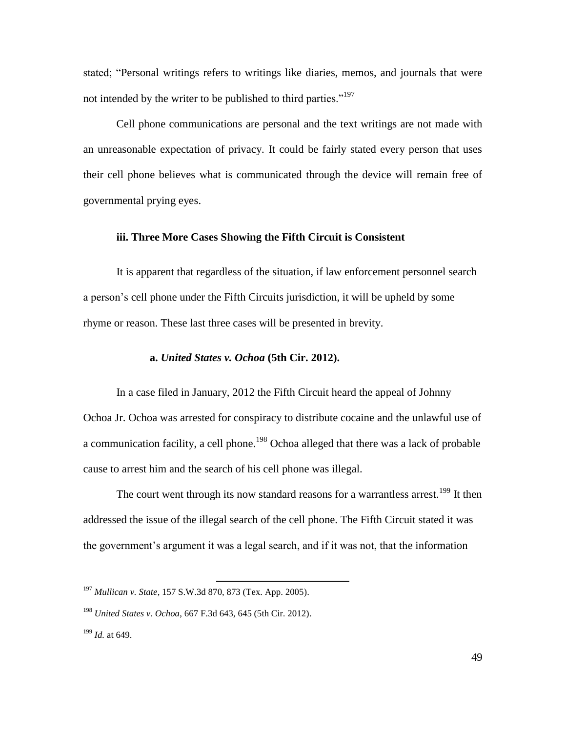stated; "Personal writings refers to writings like diaries, memos, and journals that were not intended by the writer to be published to third parties."<sup>197</sup>

Cell phone communications are personal and the text writings are not made with an unreasonable expectation of privacy. It could be fairly stated every person that uses their cell phone believes what is communicated through the device will remain free of governmental prying eyes.

#### **iii. Three More Cases Showing the Fifth Circuit is Consistent**

It is apparent that regardless of the situation, if law enforcement personnel search a person's cell phone under the Fifth Circuits jurisdiction, it will be upheld by some rhyme or reason. These last three cases will be presented in brevity.

#### **a.** *United States v. Ochoa* **(5th Cir. 2012).**

In a case filed in January, 2012 the Fifth Circuit heard the appeal of Johnny Ochoa Jr. Ochoa was arrested for conspiracy to distribute cocaine and the unlawful use of a communication facility, a cell phone.<sup>198</sup> Ochoa alleged that there was a lack of probable cause to arrest him and the search of his cell phone was illegal.

The court went through its now standard reasons for a warrantless arrest.<sup>199</sup> It then addressed the issue of the illegal search of the cell phone. The Fifth Circuit stated it was the government's argument it was a legal search, and if it was not, that the information

<sup>197</sup> *Mullican v. State*, 157 S.W.3d 870, 873 (Tex. App. 2005).

<sup>198</sup> *United States v. Ochoa*, 667 F.3d 643, 645 (5th Cir. 2012).

<sup>199</sup> *Id.* at 649.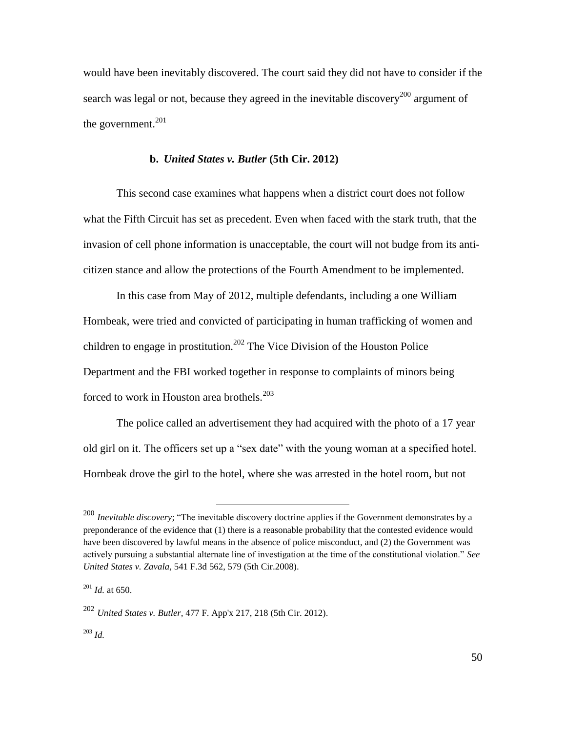would have been inevitably discovered. The court said they did not have to consider if the search was legal or not, because they agreed in the inevitable discovery<sup>200</sup> argument of the government. $201$ 

## **b.** *United States v. Butler* **(5th Cir. 2012)**

This second case examines what happens when a district court does not follow what the Fifth Circuit has set as precedent. Even when faced with the stark truth, that the invasion of cell phone information is unacceptable, the court will not budge from its anticitizen stance and allow the protections of the Fourth Amendment to be implemented.

In this case from May of 2012, multiple defendants, including a one William Hornbeak, were tried and convicted of participating in human trafficking of women and children to engage in prostitution.<sup>202</sup> The Vice Division of the Houston Police Department and the FBI worked together in response to complaints of minors being forced to work in Houston area brothels.<sup>203</sup>

The police called an advertisement they had acquired with the photo of a 17 year old girl on it. The officers set up a "sex date" with the young woman at a specified hotel. Hornbeak drove the girl to the hotel, where she was arrested in the hotel room, but not

<sup>&</sup>lt;sup>200</sup> *Inevitable discovery*; "The inevitable discovery doctrine applies if the Government demonstrates by a preponderance of the evidence that (1) there is a reasonable probability that the contested evidence would have been discovered by lawful means in the absence of police misconduct, and (2) the Government was actively pursuing a substantial alternate line of investigation at the time of the constitutional violation." See *United States v. Zavala,* 541 F.3d 562, 579 (5th Cir.2008).

<sup>201</sup> *Id.* at 650.

<sup>202</sup> *United States v. Butler,* 477 F. App'x 217, 218 (5th Cir. 2012).

<sup>203</sup> *Id.*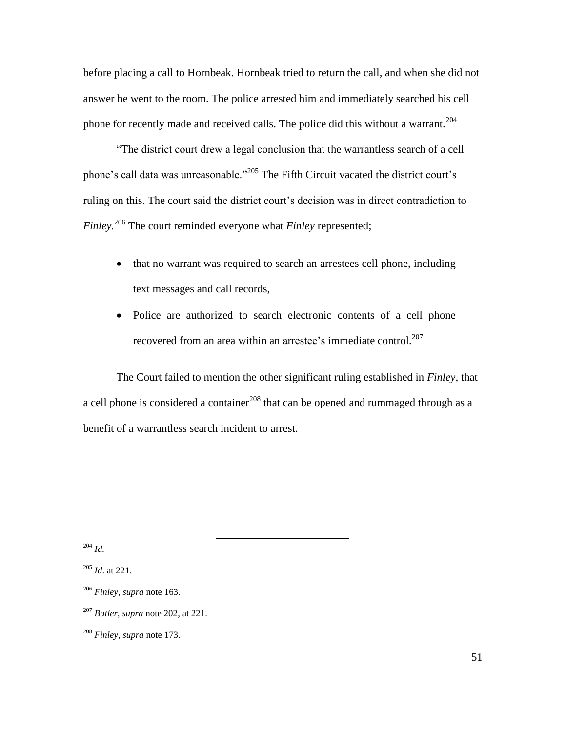before placing a call to Hornbeak. Hornbeak tried to return the call, and when she did not answer he went to the room. The police arrested him and immediately searched his cell phone for recently made and received calls. The police did this without a warrant.<sup>204</sup>

―The district court drew a legal conclusion that the warrantless search of a cell phone's call data was unreasonable." $^{205}$  The Fifth Circuit vacated the district court's ruling on this. The court said the district court's decision was in direct contradiction to *Finley.* <sup>206</sup> The court reminded everyone what *Finley* represented;

- that no warrant was required to search an arrestees cell phone, including text messages and call records,
- Police are authorized to search electronic contents of a cell phone recovered from an area within an arrestee's immediate control.<sup>207</sup>

The Court failed to mention the other significant ruling established in *Finley*, that a cell phone is considered a container  $208$  that can be opened and rummaged through as a benefit of a warrantless search incident to arrest.

<sup>204</sup> *Id.*

<sup>205</sup> *Id*. at 221.

<sup>206</sup> *Finley, supra* note 163.

<sup>207</sup> *Butler, supra* note 202, at 221.

<sup>208</sup> *Finley, supra* note 173.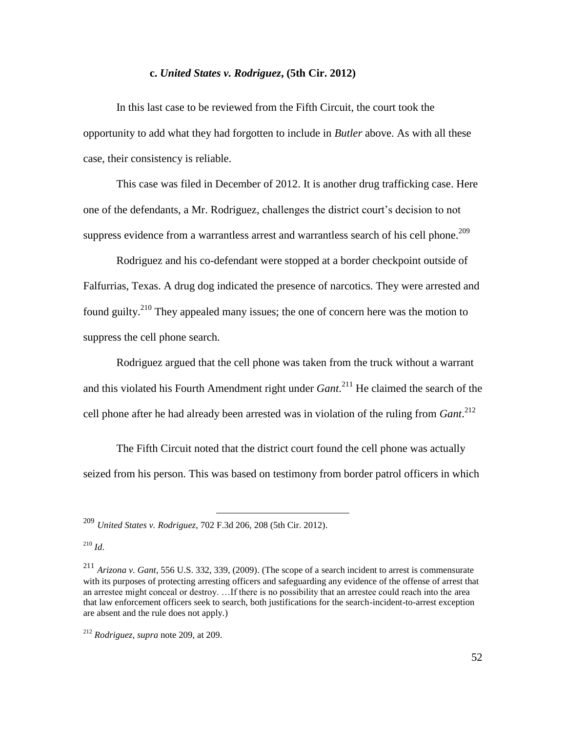### **c.** *United States v. Rodriguez***, (5th Cir. 2012)**

In this last case to be reviewed from the Fifth Circuit, the court took the opportunity to add what they had forgotten to include in *Butler* above. As with all these case, their consistency is reliable.

This case was filed in December of 2012. It is another drug trafficking case. Here one of the defendants, a Mr. Rodriguez, challenges the district court's decision to not suppress evidence from a warrantless arrest and warrantless search of his cell phone.<sup>209</sup>

Rodriguez and his co-defendant were stopped at a border checkpoint outside of Falfurrias, Texas. A drug dog indicated the presence of narcotics. They were arrested and found guilty.<sup>210</sup> They appealed many issues; the one of concern here was the motion to suppress the cell phone search.

Rodriguez argued that the cell phone was taken from the truck without a warrant and this violated his Fourth Amendment right under *Gant*. <sup>211</sup> He claimed the search of the cell phone after he had already been arrested was in violation of the ruling from *Gant*. 212

The Fifth Circuit noted that the district court found the cell phone was actually seized from his person. This was based on testimony from border patrol officers in which

 $\overline{a}$ 

 $^{210}$  *Id.* 

<sup>209</sup> *United States v. Rodriguez*, 702 F.3d 206, 208 (5th Cir. 2012).

<sup>211</sup> *Arizona v. Gant*, 556 U.S. 332, 339, (2009). (The scope of a search incident to arrest is commensurate with its purposes of protecting arresting officers and safeguarding any evidence of the offense of arrest that an arrestee might conceal or destroy. …If there is no possibility that an arrestee could reach into the area that law enforcement officers seek to search, both justifications for the search-incident-to-arrest exception are absent and the rule does not apply.)

<sup>212</sup> *Rodriguez*, *supra* note 209, at 209.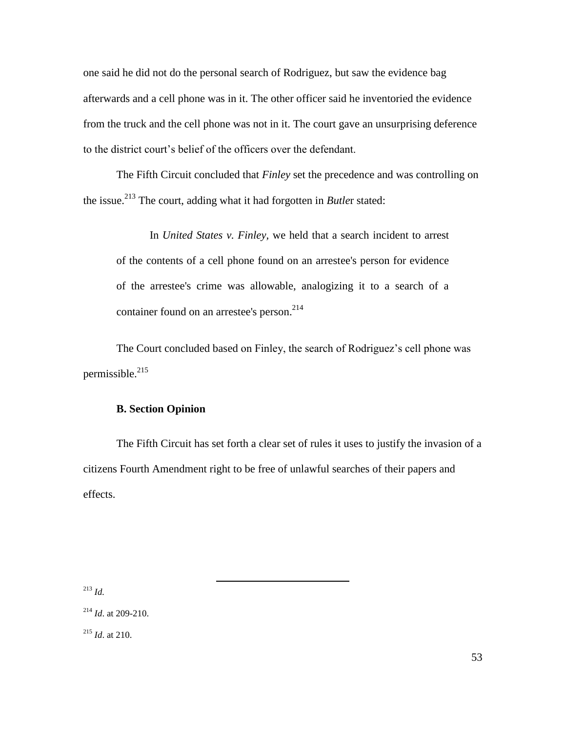one said he did not do the personal search of Rodriguez, but saw the evidence bag afterwards and a cell phone was in it. The other officer said he inventoried the evidence from the truck and the cell phone was not in it. The court gave an unsurprising deference to the district court's belief of the officers over the defendant.

The Fifth Circuit concluded that *Finley* set the precedence and was controlling on the issue.<sup>213</sup> The court, adding what it had forgotten in *Butle*r stated:

In *United States v. Finley,* we held that a search incident to arrest of the contents of a cell phone found on an arrestee's person for evidence of the arrestee's crime was allowable, analogizing it to a search of a container found on an arrestee's person. 214

The Court concluded based on Finley, the search of Rodriguez's cell phone was permissible.<sup>215</sup>

# **B. Section Opinion**

The Fifth Circuit has set forth a clear set of rules it uses to justify the invasion of a citizens Fourth Amendment right to be free of unlawful searches of their papers and effects.

 $\overline{a}$ 

<sup>213</sup> *Id.*

<sup>214</sup> *Id*. at 209-210.

<sup>215</sup> *Id*. at 210.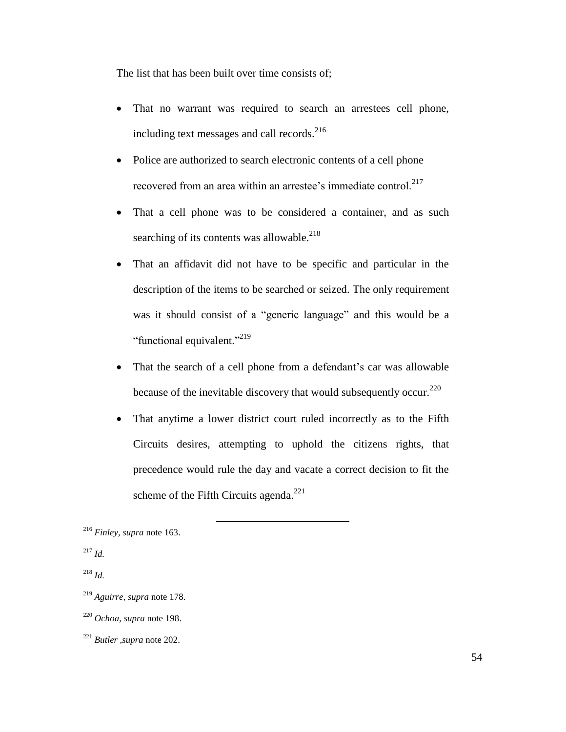The list that has been built over time consists of;

- That no warrant was required to search an arrestees cell phone, including text messages and call records. 216
- Police are authorized to search electronic contents of a cell phone recovered from an area within an arrestee's immediate control.<sup>217</sup>
- That a cell phone was to be considered a container, and as such searching of its contents was allowable. $^{218}$
- That an affidavit did not have to be specific and particular in the description of the items to be searched or seized. The only requirement was it should consist of a "generic language" and this would be a "functional equivalent."<sup>219</sup>
- That the search of a cell phone from a defendant's car was allowable because of the inevitable discovery that would subsequently occur.<sup>220</sup>
- That anytime a lower district court ruled incorrectly as to the Fifth Circuits desires, attempting to uphold the citizens rights, that precedence would rule the day and vacate a correct decision to fit the scheme of the Fifth Circuits agenda.<sup>221</sup>

<sup>216</sup> *Finley, supra* note 163.

<sup>217</sup> *Id.*

<sup>218</sup> *Id.*

<sup>219</sup> *Aguirre, supra* note 178.

<sup>220</sup> *Ochoa*, *supra* note 198.

<sup>221</sup> *Butler ,supra* note 202.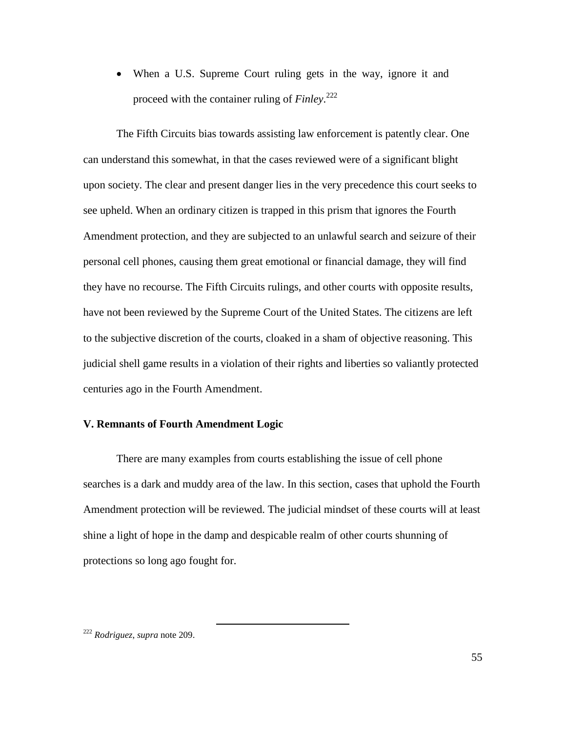• When a U.S. Supreme Court ruling gets in the way, ignore it and proceed with the container ruling of *Finley*. 222

The Fifth Circuits bias towards assisting law enforcement is patently clear. One can understand this somewhat, in that the cases reviewed were of a significant blight upon society. The clear and present danger lies in the very precedence this court seeks to see upheld. When an ordinary citizen is trapped in this prism that ignores the Fourth Amendment protection, and they are subjected to an unlawful search and seizure of their personal cell phones, causing them great emotional or financial damage, they will find they have no recourse. The Fifth Circuits rulings, and other courts with opposite results, have not been reviewed by the Supreme Court of the United States. The citizens are left to the subjective discretion of the courts, cloaked in a sham of objective reasoning. This judicial shell game results in a violation of their rights and liberties so valiantly protected centuries ago in the Fourth Amendment.

# **V. Remnants of Fourth Amendment Logic**

 $\overline{a}$ 

There are many examples from courts establishing the issue of cell phone searches is a dark and muddy area of the law. In this section, cases that uphold the Fourth Amendment protection will be reviewed. The judicial mindset of these courts will at least shine a light of hope in the damp and despicable realm of other courts shunning of protections so long ago fought for.

<sup>222</sup> *Rodriguez*, *supra* note 209.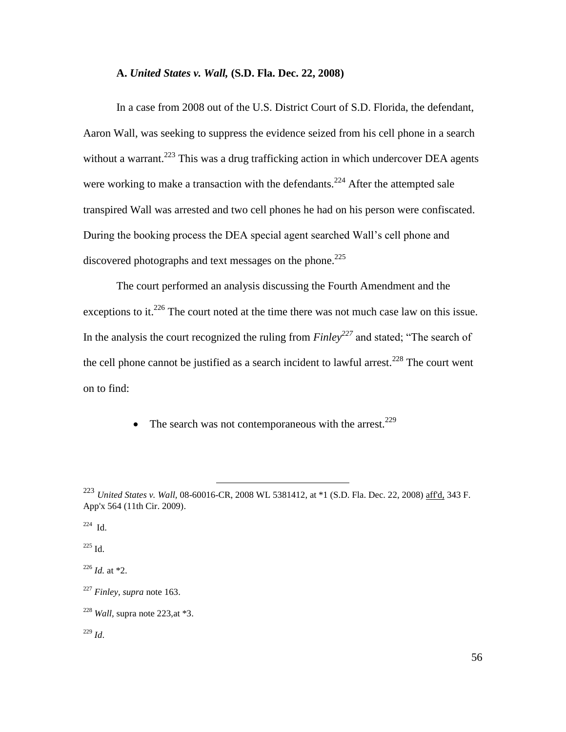#### **A.** *United States v. Wall,* **(S.D. Fla. Dec. 22, 2008)**

In a case from 2008 out of the U.S. District Court of S.D. Florida, the defendant, Aaron Wall, was seeking to suppress the evidence seized from his cell phone in a search without a warrant.<sup>223</sup> This was a drug trafficking action in which undercover DEA agents were working to make a transaction with the defendants.<sup>224</sup> After the attempted sale transpired Wall was arrested and two cell phones he had on his person were confiscated. During the booking process the DEA special agent searched Wall's cell phone and discovered photographs and text messages on the phone.<sup>225</sup>

The court performed an analysis discussing the Fourth Amendment and the exceptions to it.<sup>226</sup> The court noted at the time there was not much case law on this issue. In the analysis the court recognized the ruling from  $Finley^{227}$  and stated; "The search of the cell phone cannot be justified as a search incident to lawful arrest.<sup>228</sup> The court went on to find:

• The search was not contemporaneous with the arrest.<sup>229</sup>

 $\overline{a}$ 

 $224$  Id.

 $225$  Id.

<sup>226</sup> *Id.* at \*2.

<sup>223</sup> *United States v. Wall,* 08-60016-CR, 2008 WL 5381412, at \*1 (S.D. Fla. Dec. 22, 2008) aff'd, 343 F. App'x 564 (11th Cir. 2009).

<sup>227</sup> *Finley, supra* note 163.

<sup>228</sup> *Wall,* supra note 223,at \*3.

<sup>229</sup> *Id*.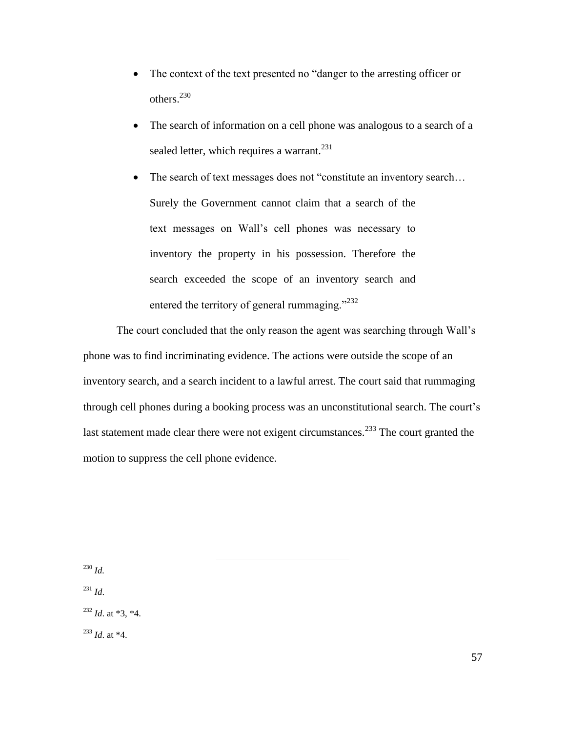- The context of the text presented no "danger to the arresting officer or others.<sup>230</sup>
- The search of information on a cell phone was analogous to a search of a sealed letter, which requires a warrant.<sup>231</sup>
- The search of text messages does not "constitute an inventory search... Surely the Government cannot claim that a search of the text messages on Wall's cell phones was necessary to inventory the property in his possession. Therefore the search exceeded the scope of an inventory search and entered the territory of general rummaging." $^{232}$

The court concluded that the only reason the agent was searching through Wall's phone was to find incriminating evidence. The actions were outside the scope of an inventory search, and a search incident to a lawful arrest. The court said that rummaging through cell phones during a booking process was an unconstitutional search. The court's last statement made clear there were not exigent circumstances.<sup>233</sup> The court granted the motion to suppress the cell phone evidence.

 $\overline{a}$ 

<sup>230</sup> *Id.*

<sup>231</sup> *Id*.

 $^{232}$  *Id.* at \*3, \*4.

<sup>233</sup> *Id*. at \*4.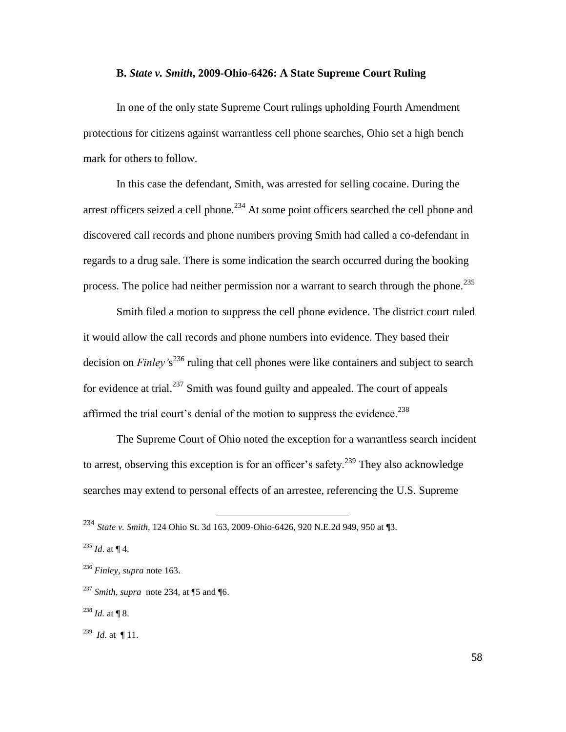#### **B.** *State v. Smith***, 2009-Ohio-6426: A State Supreme Court Ruling**

In one of the only state Supreme Court rulings upholding Fourth Amendment protections for citizens against warrantless cell phone searches, Ohio set a high bench mark for others to follow.

In this case the defendant, Smith, was arrested for selling cocaine. During the arrest officers seized a cell phone.<sup>234</sup> At some point officers searched the cell phone and discovered call records and phone numbers proving Smith had called a co-defendant in regards to a drug sale. There is some indication the search occurred during the booking process. The police had neither permission nor a warrant to search through the phone.<sup>235</sup>

Smith filed a motion to suppress the cell phone evidence. The district court ruled it would allow the call records and phone numbers into evidence. They based their decision on *Finley'*s <sup>236</sup> ruling that cell phones were like containers and subject to search for evidence at trial.<sup>237</sup> Smith was found guilty and appealed. The court of appeals affirmed the trial court's denial of the motion to suppress the evidence.<sup>238</sup>

The Supreme Court of Ohio noted the exception for a warrantless search incident to arrest, observing this exception is for an officer's safety.<sup>239</sup> They also acknowledge searches may extend to personal effects of an arrestee, referencing the U.S. Supreme

<sup>234</sup> *State v. Smith*, 124 Ohio St. 3d 163, 2009-Ohio-6426, 920 N.E.2d 949, 950 at ¶3.

 $^{235}$  *Id.* at ¶ 4.

<sup>236</sup> *Finley, supra* note 163.

<sup>237</sup> *Smith, supra* note 234, at ¶5 and ¶6.

 $^{238}$  *Id.* at ¶ 8.

 $^{239}$  *Id.* at ¶ 11.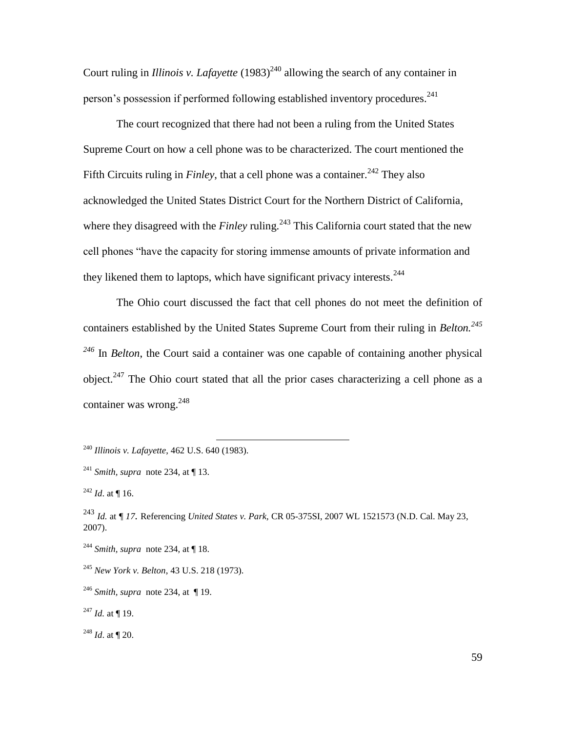Court ruling in *Illinois v. Lafayette*  $(1983)^{240}$  allowing the search of any container in person's possession if performed following established inventory procedures.<sup>241</sup>

The court recognized that there had not been a ruling from the United States Supreme Court on how a cell phone was to be characterized. The court mentioned the Fifth Circuits ruling in *Finley*, that a cell phone was a container.<sup>242</sup> They also acknowledged the United States District Court for the Northern District of California, where they disagreed with the *Finley* ruling.<sup>243</sup> This California court stated that the new cell phones "have the capacity for storing immense amounts of private information and they likened them to laptops, which have significant privacy interests.<sup>244</sup>

The Ohio court discussed the fact that cell phones do not meet the definition of containers established by the United States Supreme Court from their ruling in *Belton.<sup>245</sup> <sup>246</sup>* In *Belton*, the Court said a container was one capable of containing another physical object.<sup>247</sup> The Ohio court stated that all the prior cases characterizing a cell phone as a container was wrong. $248$ 

 $\overline{a}$ 

 $^{247}$  *Id.* at ¶ 19.

<sup>240</sup> *Illinois v. Lafayette*, 462 U.S. 640 (1983).

<sup>&</sup>lt;sup>241</sup> *Smith, supra* note 234, at  $\P$  13.

 $^{242}$  *Id.* at ¶ 16.

<sup>243</sup> *Id.* at *¶ 17.* Referencing *United States v. Park,* CR 05-375SI, 2007 WL 1521573 (N.D. Cal. May 23, 2007).

<sup>244</sup> *Smith, supra* note 234, at ¶ 18.

<sup>245</sup> *New York v. Belton*, 43 U.S. 218 (1973).

<sup>246</sup> *Smith, supra* note 234, at ¶ 19.

<sup>248</sup> *Id*. at ¶ 20.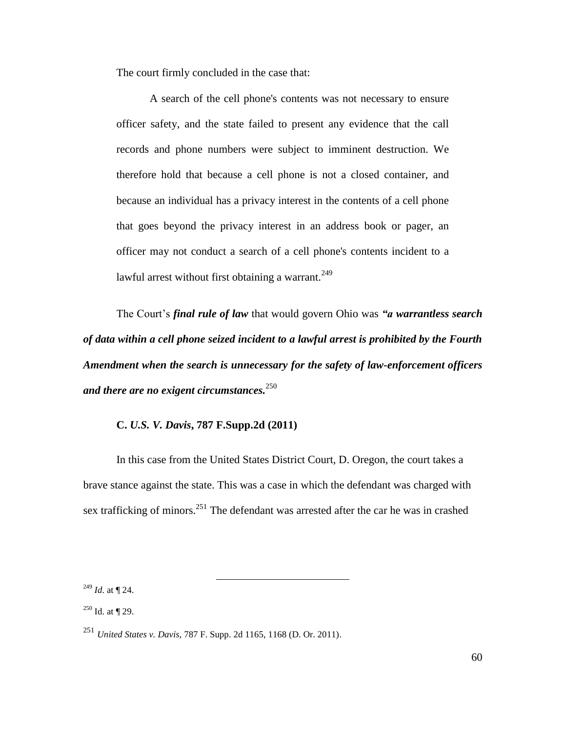The court firmly concluded in the case that:

A search of the cell phone's contents was not necessary to ensure officer safety, and the state failed to present any evidence that the call records and phone numbers were subject to imminent destruction. We therefore hold that because a cell phone is not a closed container, and because an individual has a privacy interest in the contents of a cell phone that goes beyond the privacy interest in an address book or pager, an officer may not conduct a search of a cell phone's contents incident to a lawful arrest without first obtaining a warrant.<sup>249</sup>

The Court's *final rule of law* that would govern Ohio was *"a warrantless search of data within a cell phone seized incident to a lawful arrest is prohibited by the Fourth Amendment when the search is unnecessary for the safety of law-enforcement officers and there are no exigent circumstances.*<sup>250</sup>

# **C.** *U.S. V. Davis***, 787 F.Supp.2d (2011)**

In this case from the United States District Court, D. Oregon, the court takes a brave stance against the state. This was a case in which the defendant was charged with sex trafficking of minors.<sup>251</sup> The defendant was arrested after the car he was in crashed

<sup>249</sup> *Id*. at ¶ 24.

 $250$  Id. at  $\P$  29.

<sup>251</sup> *United States v. Davis,* 787 F. Supp. 2d 1165, 1168 (D. Or. 2011).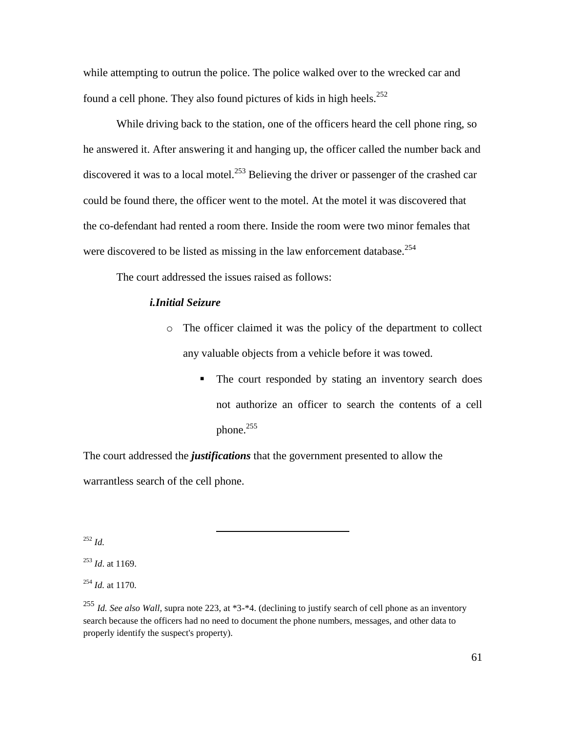while attempting to outrun the police. The police walked over to the wrecked car and found a cell phone. They also found pictures of kids in high heels.<sup>252</sup>

While driving back to the station, one of the officers heard the cell phone ring, so he answered it. After answering it and hanging up, the officer called the number back and discovered it was to a local motel.<sup>253</sup> Believing the driver or passenger of the crashed car could be found there, the officer went to the motel. At the motel it was discovered that the co-defendant had rented a room there. Inside the room were two minor females that were discovered to be listed as missing in the law enforcement database.<sup>254</sup>

The court addressed the issues raised as follows:

 $\overline{a}$ 

# *i.Initial Seizure*

- o The officer claimed it was the policy of the department to collect any valuable objects from a vehicle before it was towed.
	- The court responded by stating an inventory search does not authorize an officer to search the contents of a cell phone.<sup>255</sup>

The court addressed the *justifications* that the government presented to allow the warrantless search of the cell phone.

<sup>252</sup> *Id.*

<sup>253</sup> *Id*. at 1169.

<sup>254</sup> *Id.* at 1170.

<sup>255</sup> *Id. See also Wall*, supra note 223, at \*3-\*4. (declining to justify search of cell phone as an inventory search because the officers had no need to document the phone numbers, messages, and other data to properly identify the suspect's property).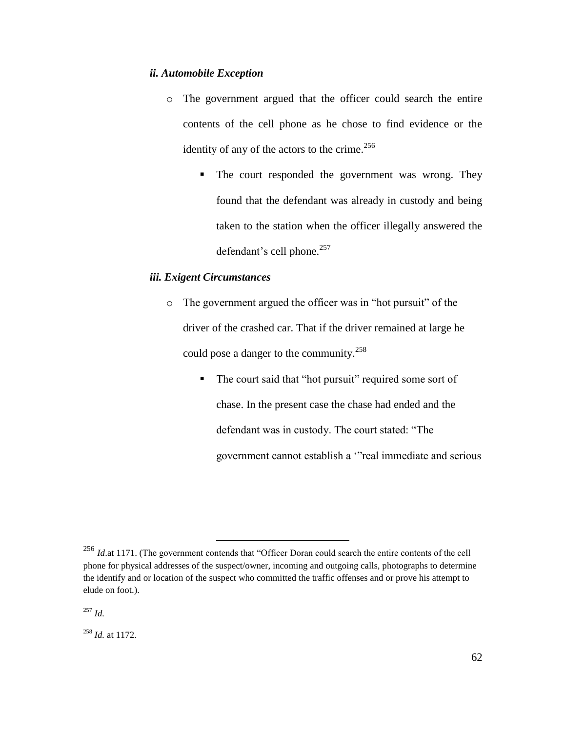# *ii. Automobile Exception*

- o The government argued that the officer could search the entire contents of the cell phone as he chose to find evidence or the identity of any of the actors to the crime. $256$ 
	- The court responded the government was wrong. They found that the defendant was already in custody and being taken to the station when the officer illegally answered the defendant's cell phone. $257$

# *iii. Exigent Circumstances*

 $\overline{a}$ 

- o The government argued the officer was in "hot pursuit" of the driver of the crashed car. That if the driver remained at large he could pose a danger to the community.<sup>258</sup>
	- The court said that "hot pursuit" required some sort of chase. In the present case the chase had ended and the defendant was in custody. The court stated: "The government cannot establish a "real immediate and serious

<sup>258</sup> *Id.* at 1172.

<sup>&</sup>lt;sup>256</sup> *Id.*at 1171. (The government contends that "Officer Doran could search the entire contents of the cell phone for physical addresses of the suspect/owner, incoming and outgoing calls, photographs to determine the identify and or location of the suspect who committed the traffic offenses and or prove his attempt to elude on foot.).

<sup>257</sup> *Id.*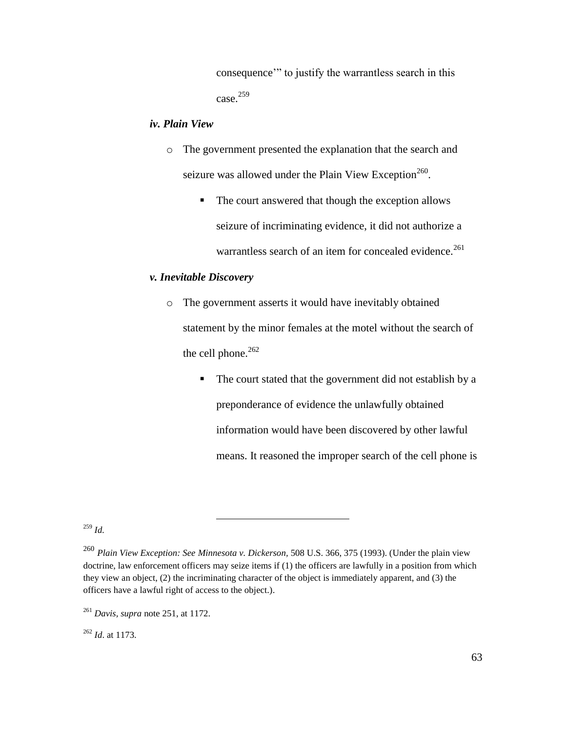consequence" to justify the warrantless search in this case.<sup>259</sup>

# *iv. Plain View*

- o The government presented the explanation that the search and seizure was allowed under the Plain View Exception<sup>260</sup>.
	- The court answered that though the exception allows seizure of incriminating evidence, it did not authorize a warrantless search of an item for concealed evidence.<sup>261</sup>

# *v. Inevitable Discovery*

 $\overline{a}$ 

- o The government asserts it would have inevitably obtained statement by the minor females at the motel without the search of the cell phone. $262$ 
	- The court stated that the government did not establish by a preponderance of evidence the unlawfully obtained information would have been discovered by other lawful means. It reasoned the improper search of the cell phone is

<sup>259</sup> *Id.*

<sup>262</sup> *Id*. at 1173.

<sup>260</sup> *Plain View Exception: See Minnesota v. Dickerson,* 508 U.S. 366, 375 (1993). (Under the plain view doctrine, law enforcement officers may seize items if (1) the officers are lawfully in a position from which they view an object, (2) the incriminating character of the object is immediately apparent, and (3) the officers have a lawful right of access to the object.).

<sup>261</sup> *Davis, supra* note 251, at 1172.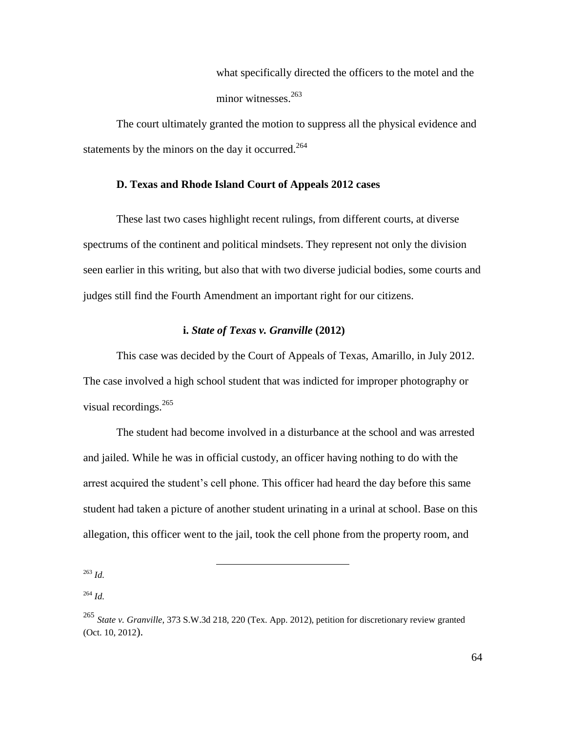what specifically directed the officers to the motel and the minor witnesses.<sup>263</sup>

The court ultimately granted the motion to suppress all the physical evidence and statements by the minors on the day it occurred.<sup>264</sup>

# **D. Texas and Rhode Island Court of Appeals 2012 cases**

These last two cases highlight recent rulings, from different courts, at diverse spectrums of the continent and political mindsets. They represent not only the division seen earlier in this writing, but also that with two diverse judicial bodies, some courts and judges still find the Fourth Amendment an important right for our citizens.

# **i.** *State of Texas v. Granville* **(2012)**

This case was decided by the Court of Appeals of Texas, Amarillo, in July 2012. The case involved a high school student that was indicted for improper photography or visual recordings. $^{265}$ 

The student had become involved in a disturbance at the school and was arrested and jailed. While he was in official custody, an officer having nothing to do with the arrest acquired the student's cell phone. This officer had heard the day before this same student had taken a picture of another student urinating in a urinal at school. Base on this allegation, this officer went to the jail, took the cell phone from the property room, and

<sup>263</sup> *Id.*

<sup>264</sup> *Id.*

<sup>265</sup> *State v. Granville*, 373 S.W.3d 218, 220 (Tex. App. 2012), petition for discretionary review granted (Oct. 10, 2012).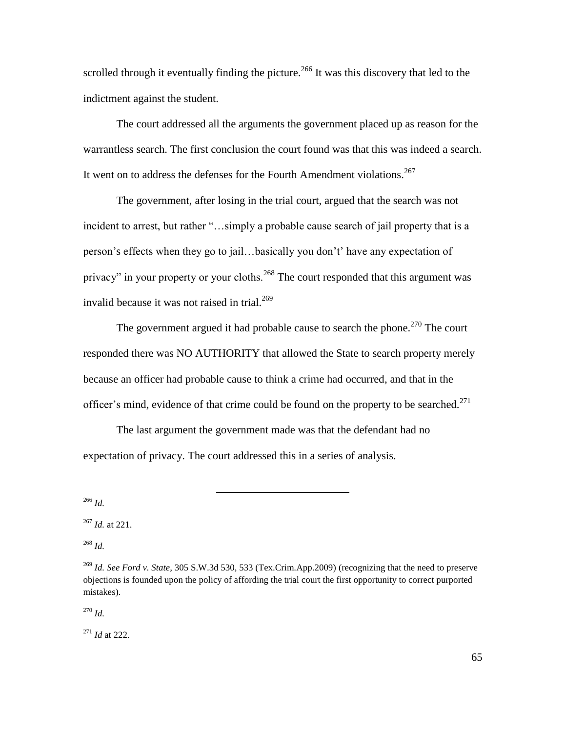scrolled through it eventually finding the picture.<sup>266</sup> It was this discovery that led to the indictment against the student.

The court addressed all the arguments the government placed up as reason for the warrantless search. The first conclusion the court found was that this was indeed a search. It went on to address the defenses for the Fourth Amendment violations.<sup>267</sup>

The government, after losing in the trial court, argued that the search was not incident to arrest, but rather "...simply a probable cause search of jail property that is a person's effects when they go to jail…basically you don't' have any expectation of privacy" in your property or your cloths.<sup>268</sup> The court responded that this argument was invalid because it was not raised in trial. $^{269}$ 

The government argued it had probable cause to search the phone.<sup>270</sup> The court responded there was NO AUTHORITY that allowed the State to search property merely because an officer had probable cause to think a crime had occurred, and that in the officer's mind, evidence of that crime could be found on the property to be searched.<sup>271</sup>

The last argument the government made was that the defendant had no expectation of privacy. The court addressed this in a series of analysis.

 $\overline{a}$ 

<sup>266</sup> *Id.*

<sup>268</sup> *Id.*

<sup>270</sup> *Id.*

<sup>271</sup> *Id* at 222.

<sup>267</sup> *Id.* at 221.

<sup>269</sup> *Id. See Ford v. State,* [305 S.W.3d 530, 533 \(Tex.Crim.App.2009\)](https://a.next.westlaw.com/Link/Document/FullText?findType=Y&serNum=2020161633&pubNum=4644&originationContext=document&transitionType=DocumentItem&contextData=%28sc.Keycite%29#co_pp_sp_4644_533) (recognizing that the need to preserve objections is founded upon the policy of affording the trial court the first opportunity to correct purported mistakes).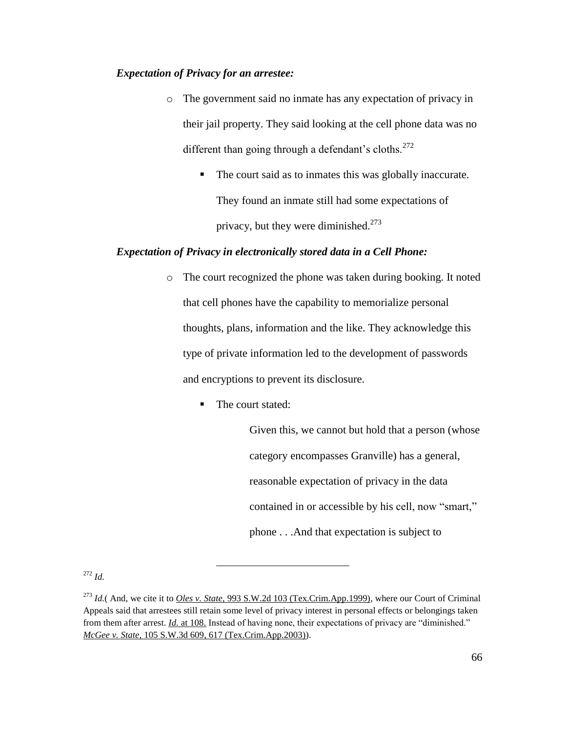# *Expectation of Privacy for an arrestee:*

- o The government said no inmate has any expectation of privacy in their jail property. They said looking at the cell phone data was no different than going through a defendant's cloths.<sup>272</sup>
	- The court said as to inmates this was globally inaccurate. They found an inmate still had some expectations of privacy, but they were diminished.<sup>273</sup>

## *Expectation of Privacy in electronically stored data in a Cell Phone:*

- o The court recognized the phone was taken during booking. It noted that cell phones have the capability to memorialize personal thoughts, plans, information and the like. They acknowledge this type of private information led to the development of passwords and encryptions to prevent its disclosure.
	- The court stated:

 $\overline{a}$ 

Given this, we cannot but hold that a person (whose category encompasses Granville) has a general, reasonable expectation of privacy in the data contained in or accessible by his cell, now "smart," phone . . .And that expectation is subject to

<sup>272</sup> *Id.*

<sup>273</sup> *Id.*( And, we cite it to *Oles v. State,* [993 S.W.2d 103 \(Tex.Crim.App.1999\),](https://a.next.westlaw.com/Link/Document/FullText?findType=Y&serNum=1999129200&pubNum=713&originationContext=document&transitionType=DocumentItem&contextData=%28sc.Keycite%29) where our Court of Criminal Appeals said that arrestees still retain some level of privacy interest in personal effects or belongings taken from them after arrest. *Id.* [at 108.](https://a.next.westlaw.com/Link/Document/FullText?findType=Y&serNum=1999129200&originationContext=document&transitionType=DocumentItem&contextData=%28sc.Keycite%29) Instead of having none, their expectations of privacy are "diminished." *McGee v. State,* [105 S.W.3d 609, 617 \(Tex.Crim.App.2003\)\)](https://a.next.westlaw.com/Link/Document/FullText?findType=Y&serNum=2003306478&pubNum=4644&originationContext=document&transitionType=DocumentItem&contextData=%28sc.Keycite%29#co_pp_sp_4644_617).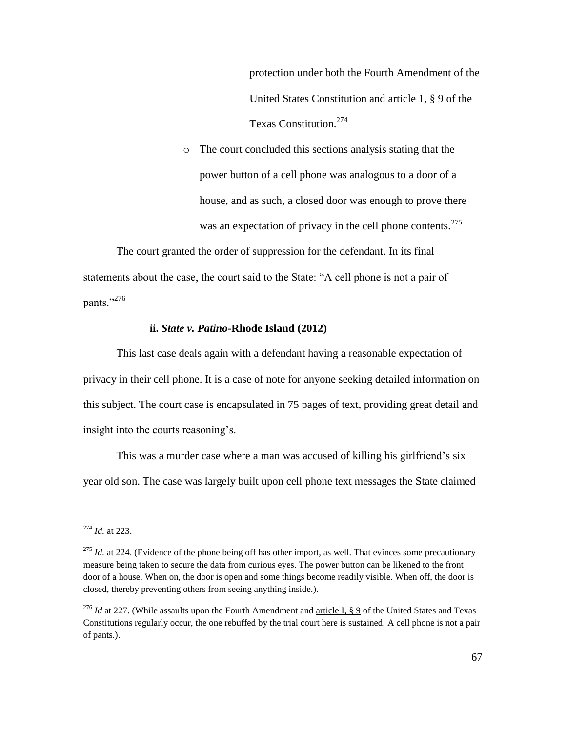protection under both the Fourth Amendment of the United States Constitution and [article 1, § 9](https://a.next.westlaw.com/Link/Document/FullText?findType=L&pubNum=1000301&cite=TXCNART1S9&originatingDoc=Ia22e4981cbe411e1b60ab297d3d07bc5&refType=LQ&originationContext=document&transitionType=DocumentItem&contextData=%28sc.Keycite%29) of the Texas Constitution.<sup>274</sup>

o The court concluded this sections analysis stating that the power button of a cell phone was analogous to a door of a house, and as such, a closed door was enough to prove there was an expectation of privacy in the cell phone contents.<sup>275</sup>

The court granted the order of suppression for the defendant. In its final statements about the case, the court said to the State: "A cell phone is not a pair of pants."276

## **ii.** *State v. Patino***-Rhode Island (2012)**

 $\overline{a}$ 

This last case deals again with a defendant having a reasonable expectation of privacy in their cell phone. It is a case of note for anyone seeking detailed information on this subject. The court case is encapsulated in 75 pages of text, providing great detail and insight into the courts reasoning's.

This was a murder case where a man was accused of killing his girlfriend's six year old son. The case was largely built upon cell phone text messages the State claimed

<sup>274</sup> *Id.* at 223.

<sup>&</sup>lt;sup>275</sup> *Id.* at 224. (Evidence of the phone being off has other import, as well. That evinces some precautionary measure being taken to secure the data from curious eyes. The power button can be likened to the front door of a house. When on, the door is open and some things become readily visible. When off, the door is closed, thereby preventing others from seeing anything inside.).

<sup>&</sup>lt;sup>276</sup> *Id* at 227. (While assaults upon the Fourth Amendment and <u>article I, § 9</u> of the United States and Texas Constitutions regularly occur, the one rebuffed by the trial court here is sustained. A cell phone is not a pair of pants.).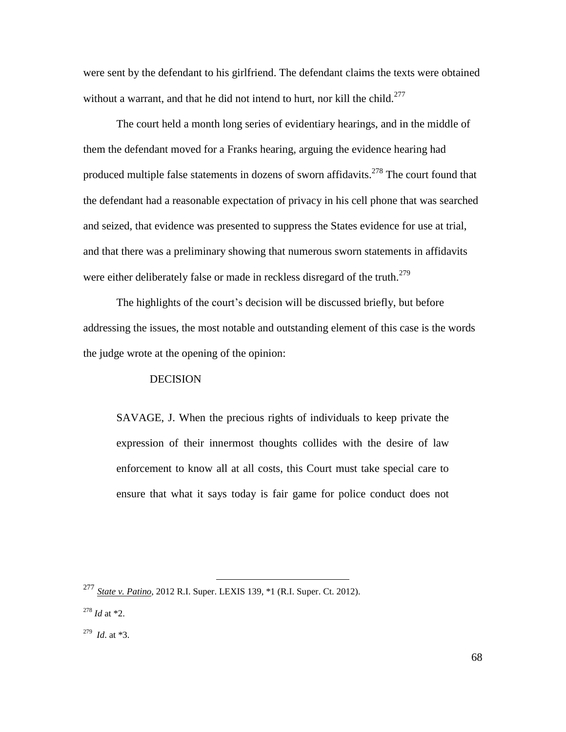were sent by the defendant to his girlfriend. The defendant claims the texts were obtained without a warrant, and that he did not intend to hurt, nor kill the child.<sup>277</sup>

The court held a month long series of evidentiary hearings, and in the middle of them the defendant moved for a Franks hearing, arguing the evidence hearing had produced multiple false statements in dozens of sworn affidavits.<sup>278</sup> The court found that the defendant had a reasonable expectation of privacy in his cell phone that was searched and seized, that evidence was presented to suppress the States evidence for use at trial, and that there was a preliminary showing that numerous sworn statements in affidavits were either deliberately false or made in reckless disregard of the truth.<sup>279</sup>

The highlights of the court's decision will be discussed briefly, but before addressing the issues, the most notable and outstanding element of this case is the words the judge wrote at the opening of the opinion:

### DECISION

SAVAGE, J. When the precious rights of individuals to keep private the expression of their innermost thoughts collides with the desire of law enforcement to know all at all costs, this Court must take special care to ensure that what it says today is fair game for police conduct does not

 $\overline{a}$ <sup>277</sup> *State v. Patino*, 2012 R.I. Super. LEXIS 139, \*1 (R.I. Super. Ct. 2012).

<sup>278</sup> *Id* at \*2.

<sup>279</sup> *Id*. at \*3.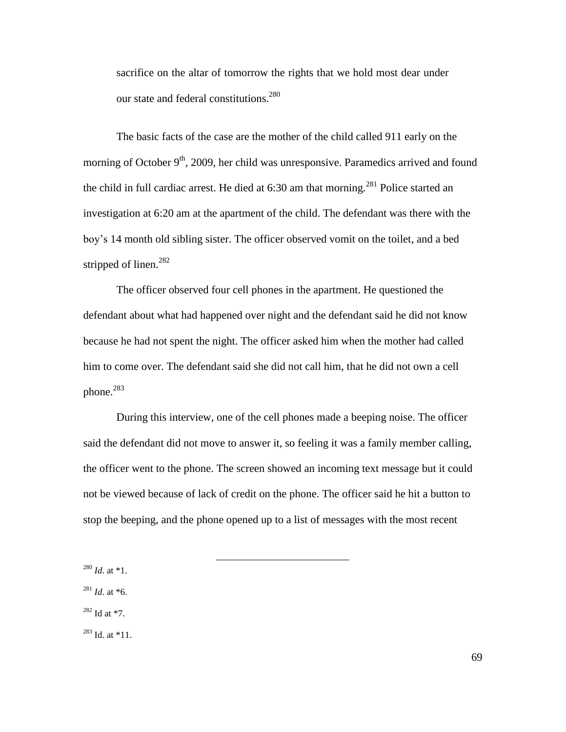sacrifice on the altar of tomorrow the rights that we hold most dear under our state and federal constitutions.<sup>280</sup>

The basic facts of the case are the mother of the child called 911 early on the morning of October  $9<sup>th</sup>$ , 2009, her child was unresponsive. Paramedics arrived and found the child in full cardiac arrest. He died at  $6:30$  am that morning.<sup>281</sup> Police started an investigation at 6:20 am at the apartment of the child. The defendant was there with the boy's 14 month old sibling sister. The officer observed vomit on the toilet, and a bed stripped of linen.<sup>282</sup>

The officer observed four cell phones in the apartment. He questioned the defendant about what had happened over night and the defendant said he did not know because he had not spent the night. The officer asked him when the mother had called him to come over. The defendant said she did not call him, that he did not own a cell phone.<sup>283</sup>

During this interview, one of the cell phones made a beeping noise. The officer said the defendant did not move to answer it, so feeling it was a family member calling, the officer went to the phone. The screen showed an incoming text message but it could not be viewed because of lack of credit on the phone. The officer said he hit a button to stop the beeping, and the phone opened up to a list of messages with the most recent

 $\overline{a}$ 

<sup>280</sup> *Id*. at \*1.

 $^{281}$  *Id.* at  $*6$ .

 $282$  Id at  $*7$ .

<sup>283</sup> Id. at \*11.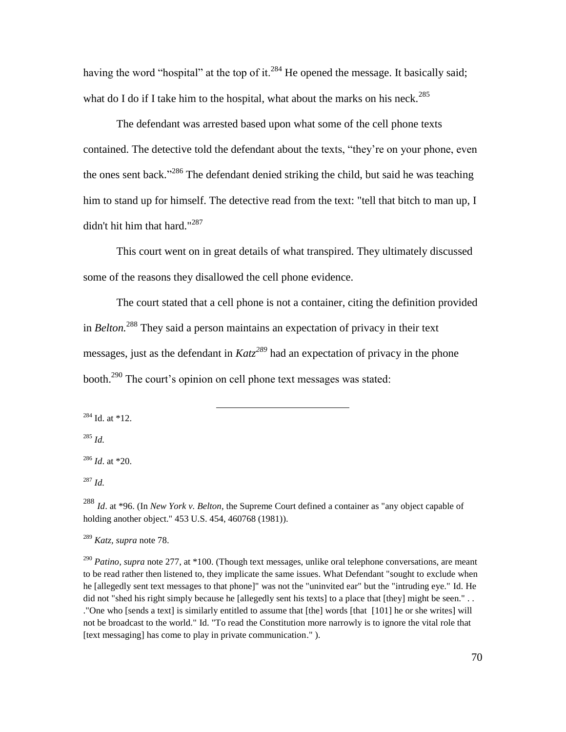having the word "hospital" at the top of it.<sup>284</sup> He opened the message. It basically said; what do I do if I take him to the hospital, what about the marks on his neck.<sup>285</sup>

The defendant was arrested based upon what some of the cell phone texts contained. The detective told the defendant about the texts, "they're on your phone, even the ones sent back."<sup>286</sup> The defendant denied striking the child, but said he was teaching him to stand up for himself. The detective read from the text: "tell that bitch to man up, I didn't hit him that hard."<sup>287</sup>

This court went on in great details of what transpired. They ultimately discussed some of the reasons they disallowed the cell phone evidence.

The court stated that a cell phone is not a container, citing the definition provided in *Belton.* <sup>288</sup> They said a person maintains an expectation of privacy in their text messages, just as the defendant in *Katz<sup>289</sup>* had an expectation of privacy in the phone booth.<sup>290</sup> The court's opinion on cell phone text messages was stated:

 $\overline{a}$ 

 $284$  Id. at  $*12$ .

<sup>285</sup> *Id.*

<sup>286</sup> *Id*. at \*20.

<sup>287</sup> *Id.*

<sup>288</sup> *Id*. at \*96. (In *New York v. Belton*, the Supreme Court defined a container as "any object capable of holding another object." 453 U.S. 454, 460768 (1981)).

<sup>289</sup> *Katz, supra* note 78.

<sup>290</sup> *Patino, supra* note 277, at \*100. (Though text messages, unlike oral telephone conversations, are meant to be read rather then listened to, they implicate the same issues. What Defendant "sought to exclude when he [allegedly sent text messages to that phone]" was not the "uninvited ear" but the "intruding eye." Id. He did not "shed his right simply because he [allegedly sent his texts] to a place that [they] might be seen." . . ."One who [sends a text] is similarly entitled to assume that [the] words [that [101] he or she writes] will not be broadcast to the world." Id. "To read the Constitution more narrowly is to ignore the vital role that [text messaging] has come to play in private communication." ).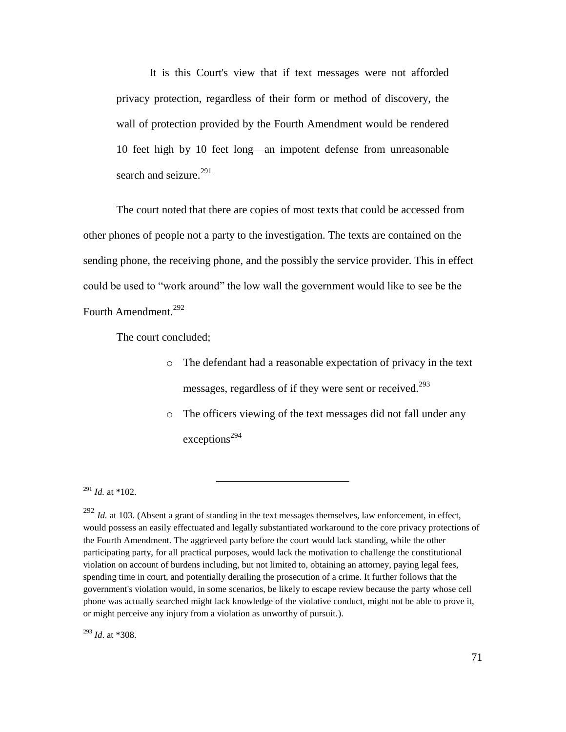It is this Court's view that if text messages were not afforded privacy protection, regardless of their form or method of discovery, the wall of protection provided by the [Fourth Amendment](https://advance.lexis.com/GoToContentView?requestid=be7d5911-9bb5-371f-5035-89c3149053f7&crid=5cb5250f-0081-4e27-aa3d-8afa0bc2cacb) would be rendered 10 feet high by 10 feet long—an impotent defense from unreasonable search and seizure. $^{291}$ 

The court noted that there are copies of most texts that could be accessed from other phones of people not a party to the investigation. The texts are contained on the sending phone, the receiving phone, and the possibly the service provider. This in effect could be used to "work around" the low wall the government would like to see be the Fourth Amendment.<sup>292</sup>

The court concluded;

- o The defendant had a reasonable expectation of privacy in the text messages, regardless of if they were sent or received.<sup>293</sup>
- o The officers viewing of the text messages did not fall under any exceptions<sup>294</sup>

 $\overline{a}$ 

<sup>293</sup> *Id*. at \*308.

<sup>291</sup> *Id.* at \*102.

<sup>&</sup>lt;sup>292</sup> *Id.* at 103. (Absent a grant of standing in the text messages themselves, law enforcement, in effect, would possess an easily effectuated and legally substantiated workaround to the core privacy protections of the Fourth Amendment. The aggrieved party before the court would lack standing, while the other participating party, for all practical purposes, would lack the motivation to challenge the constitutional violation on account of burdens including, but not limited to, obtaining an attorney, paying legal fees, spending time in court, and potentially derailing the prosecution of a crime. It further follows that the government's violation would, in some scenarios, be likely to escape review because the party whose cell phone was actually searched might lack knowledge of the violative conduct, might not be able to prove it, or might perceive any injury from a violation as unworthy of pursuit.).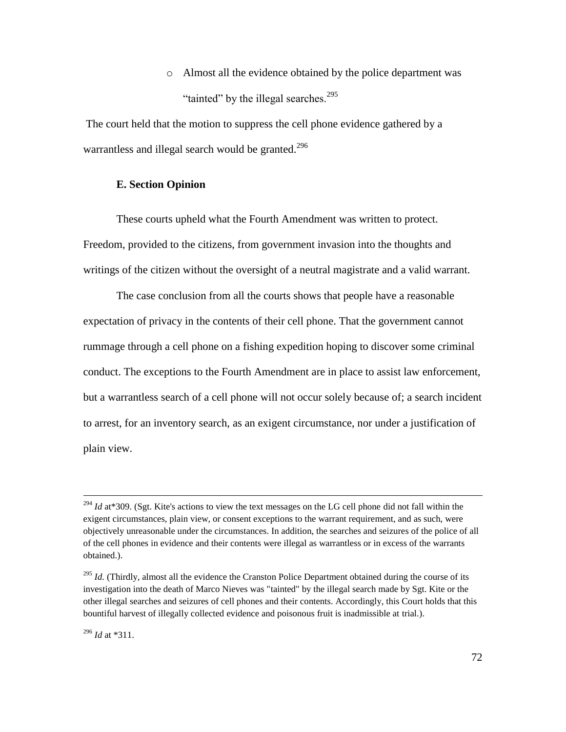o Almost all the evidence obtained by the police department was "tainted" by the illegal searches.<sup>295</sup>

The court held that the motion to suppress the cell phone evidence gathered by a warrantless and illegal search would be granted.<sup>296</sup>

## **E. Section Opinion**

These courts upheld what the Fourth Amendment was written to protect. Freedom, provided to the citizens, from government invasion into the thoughts and writings of the citizen without the oversight of a neutral magistrate and a valid warrant.

The case conclusion from all the courts shows that people have a reasonable expectation of privacy in the contents of their cell phone. That the government cannot rummage through a cell phone on a fishing expedition hoping to discover some criminal conduct. The exceptions to the Fourth Amendment are in place to assist law enforcement, but a warrantless search of a cell phone will not occur solely because of; a search incident to arrest, for an inventory search, as an exigent circumstance, nor under a justification of plain view.

<sup>&</sup>lt;sup>294</sup> *Id* at\*309. (Sgt. Kite's actions to view the text messages on the LG cell phone did not fall within the exigent circumstances, plain view, or consent exceptions to the warrant requirement, and as such, were objectively unreasonable under the circumstances. In addition, the searches and seizures of the police of all of the cell phones in evidence and their contents were illegal as warrantless or in excess of the warrants obtained.).

<sup>&</sup>lt;sup>295</sup> *Id.* (Thirdly, almost all the evidence the Cranston Police Department obtained during the course of its investigation into the death of Marco Nieves was "tainted" by the illegal search made by Sgt. Kite or the other illegal searches and seizures of cell phones and their contents. Accordingly, this Court holds that this bountiful harvest of illegally collected evidence and poisonous fruit is inadmissible at trial.).

<sup>296</sup> *Id* at \*311.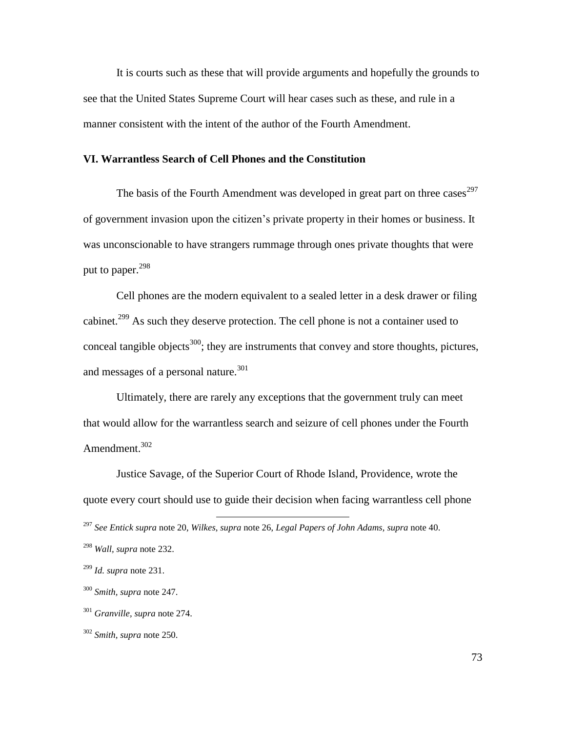It is courts such as these that will provide arguments and hopefully the grounds to see that the United States Supreme Court will hear cases such as these, and rule in a manner consistent with the intent of the author of the Fourth Amendment.

## **VI. Warrantless Search of Cell Phones and the Constitution**

The basis of the Fourth Amendment was developed in great part on three cases  $297$ of government invasion upon the citizen's private property in their homes or business. It was unconscionable to have strangers rummage through ones private thoughts that were put to paper. $^{298}$ 

Cell phones are the modern equivalent to a sealed letter in a desk drawer or filing cabinet.<sup>299</sup> As such they deserve protection. The cell phone is not a container used to conceal tangible objects<sup>300</sup>; they are instruments that convey and store thoughts, pictures, and messages of a personal nature.<sup>301</sup>

Ultimately, there are rarely any exceptions that the government truly can meet that would allow for the warrantless search and seizure of cell phones under the Fourth Amendment.<sup>302</sup>

Justice Savage, of the Superior Court of Rhode Island, Providence, wrote the quote every court should use to guide their decision when facing warrantless cell phone  $\overline{a}$ 

<sup>297</sup> *See Entick supra* note 20, *Wilkes*, *supra* note 26, *Legal Papers of John Adams, supra* note 40.

<sup>298</sup> *Wall, supra* note 232.

<sup>299</sup> *Id. supra* note 231.

<sup>300</sup> *Smith, supra* note 247.

<sup>301</sup> *Granville, supra* note 274.

<sup>302</sup> *Smith, supra* note 250.